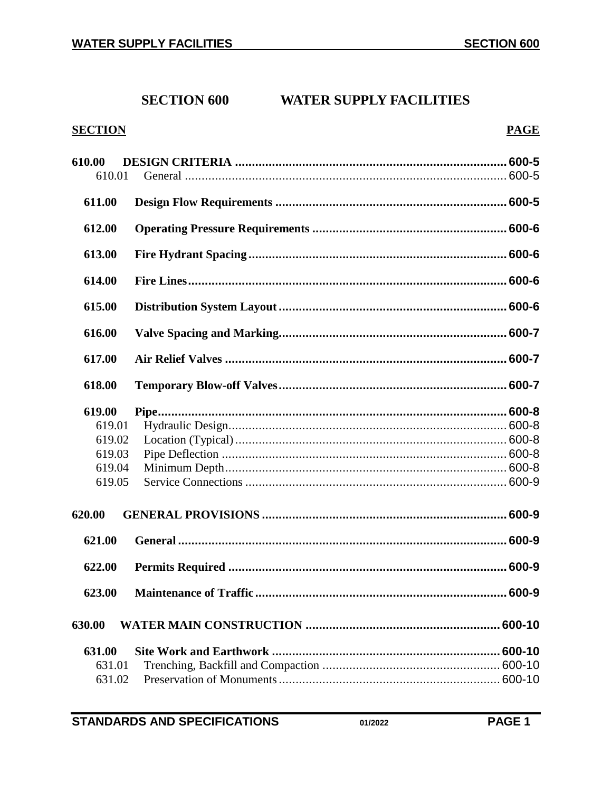# **SECTION 600 WATER SUPPLY FACILITIES**

## **SECTION**

## **PAGE**

| 610.00<br>610.01 |  |
|------------------|--|
| 611.00           |  |
| 612.00           |  |
| 613.00           |  |
| 614.00           |  |
| 615.00           |  |
| 616.00           |  |
| 617.00           |  |
| 618.00           |  |
| 619.00           |  |
| 619.01           |  |
| 619.02           |  |
| 619.03           |  |
| 619.04           |  |
| 619.05           |  |
| 620.00           |  |
| 621.00           |  |
| 622.00           |  |
| 623.00           |  |
| 630.00           |  |
| 631.00           |  |
| 631.01           |  |
| 631.02           |  |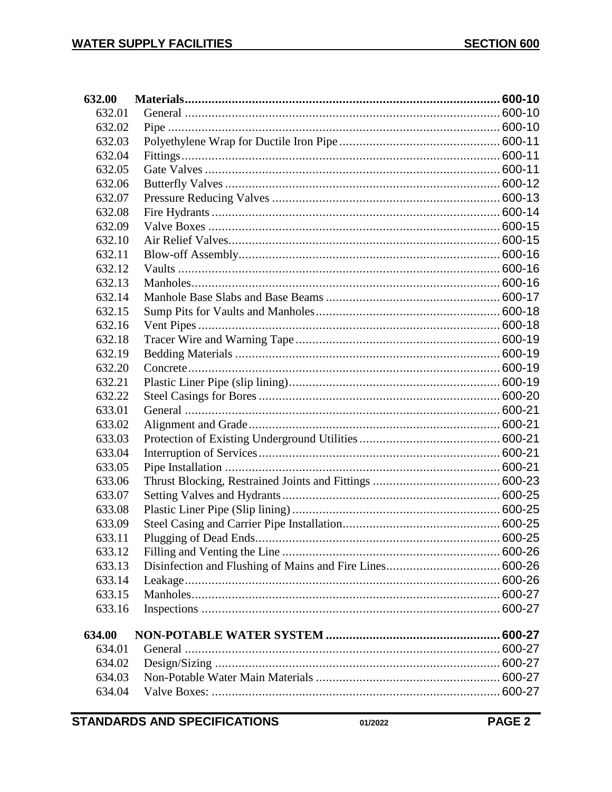| 632.00 |  |
|--------|--|
| 632.01 |  |
| 632.02 |  |
| 632.03 |  |
| 632.04 |  |
| 632.05 |  |
| 632.06 |  |
| 632.07 |  |
| 632.08 |  |
| 632.09 |  |
| 632.10 |  |
| 632.11 |  |
| 632.12 |  |
| 632.13 |  |
| 632.14 |  |
| 632.15 |  |
| 632.16 |  |
| 632.18 |  |
| 632.19 |  |
| 632.20 |  |
| 632.21 |  |
| 632.22 |  |
| 633.01 |  |
| 633.02 |  |
| 633.03 |  |
| 633.04 |  |
| 633.05 |  |
| 633.06 |  |
| 633.07 |  |
| 633.08 |  |
| 633.09 |  |
| 633.11 |  |
| 633.12 |  |
| 633.13 |  |
| 633.14 |  |
| 633.15 |  |
| 633.16 |  |
| 634.00 |  |
| 634.01 |  |
| 634.02 |  |
| 634.03 |  |
| 634.04 |  |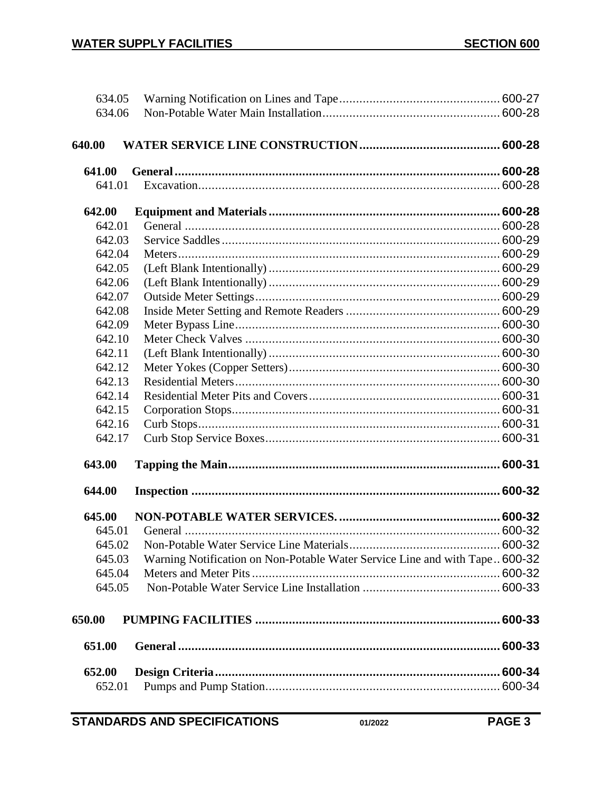| 634.05 |                                                                             |             |
|--------|-----------------------------------------------------------------------------|-------------|
| 634.06 |                                                                             |             |
|        |                                                                             |             |
| 640.00 |                                                                             |             |
| 641.00 |                                                                             |             |
| 641.01 |                                                                             |             |
| 642.00 |                                                                             |             |
| 642.01 |                                                                             |             |
| 642.03 |                                                                             |             |
| 642.04 |                                                                             |             |
| 642.05 |                                                                             |             |
| 642.06 |                                                                             |             |
| 642.07 |                                                                             |             |
| 642.08 |                                                                             |             |
| 642.09 |                                                                             |             |
| 642.10 |                                                                             |             |
| 642.11 |                                                                             |             |
| 642.12 |                                                                             |             |
| 642.13 |                                                                             |             |
| 642.14 |                                                                             |             |
| 642.15 |                                                                             |             |
| 642.16 |                                                                             |             |
| 642.17 |                                                                             |             |
| 643.00 |                                                                             |             |
| 644.00 |                                                                             |             |
| 645.00 |                                                                             |             |
| 645.01 |                                                                             |             |
| 645.02 |                                                                             |             |
| 645.03 | Warning Notification on Non-Potable Water Service Line and with Tape 600-32 |             |
| 645.04 |                                                                             |             |
| 645.05 |                                                                             |             |
| 650.00 |                                                                             |             |
| 651.00 |                                                                             |             |
| 652.00 |                                                                             | $.600 - 34$ |
| 652.01 |                                                                             |             |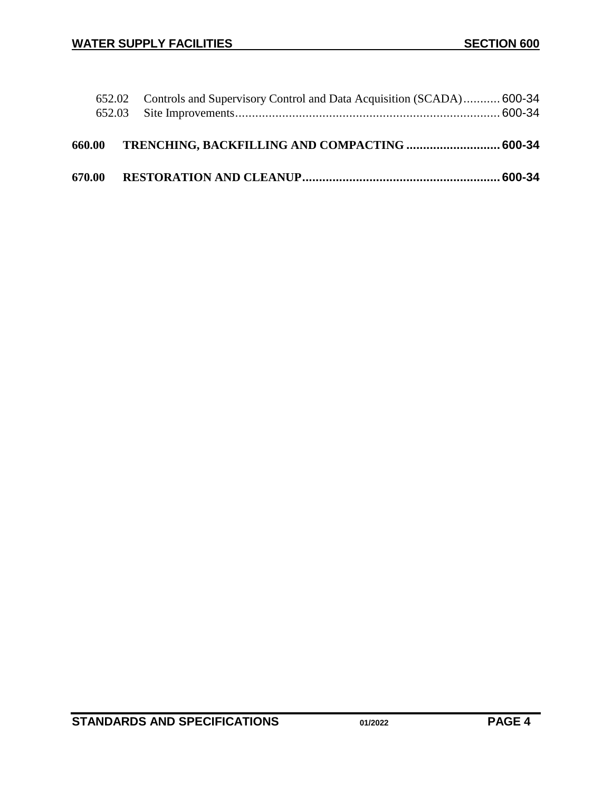|        | 652.02 Controls and Supervisory Control and Data Acquisition (SCADA)600-34 |  |
|--------|----------------------------------------------------------------------------|--|
| 660.00 | TRENCHING, BACKFILLING AND COMPACTING  600-34                              |  |
| 670.00 |                                                                            |  |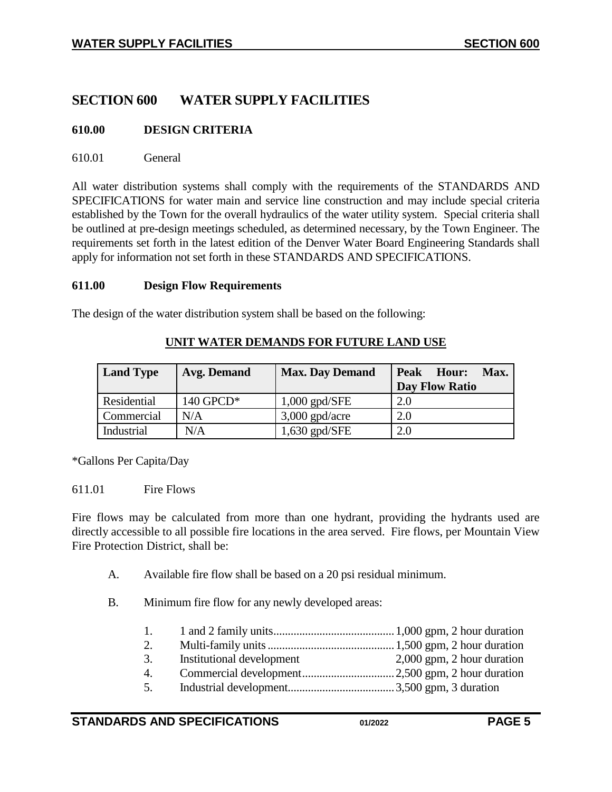## **SECTION 600 WATER SUPPLY FACILITIES**

## <span id="page-4-0"></span>**610.00 DESIGN CRITERIA**

#### <span id="page-4-1"></span>610.01 General

All water distribution systems shall comply with the requirements of the STANDARDS AND SPECIFICATIONS for water main and service line construction and may include special criteria established by the Town for the overall hydraulics of the water utility system. Special criteria shall be outlined at pre-design meetings scheduled, as determined necessary, by the Town Engineer. The requirements set forth in the latest edition of the Denver Water Board Engineering Standards shall apply for information not set forth in these STANDARDS AND SPECIFICATIONS.

#### <span id="page-4-2"></span>**611.00 Design Flow Requirements**

The design of the water distribution system shall be based on the following:

| <b>Land Type</b> | Avg. Demand | <b>Max. Day Demand</b> | <b>Peak</b><br>Max.<br>Hour:<br><b>Day Flow Ratio</b> |
|------------------|-------------|------------------------|-------------------------------------------------------|
| Residential      | 140 GPCD*   | $1,000$ gpd/SFE        | 2.0                                                   |
| Commercial       | N/A         | $3,000$ gpd/acre       | 2.0                                                   |
| Industrial       | N/A         | $1,630$ gpd/SFE        | 2.0                                                   |

#### **UNIT WATER DEMANDS FOR FUTURE LAND USE**

\*Gallons Per Capita/Day

#### 611.01 Fire Flows

Fire flows may be calculated from more than one hydrant, providing the hydrants used are directly accessible to all possible fire locations in the area served. Fire flows, per Mountain View Fire Protection District, shall be:

- A. Available fire flow shall be based on a 20 psi residual minimum.
- B. Minimum fire flow for any newly developed areas:

| $\overline{1}$ . |                           |                              |
|------------------|---------------------------|------------------------------|
| 2.               |                           |                              |
| 3.               | Institutional development | $2,000$ gpm, 2 hour duration |
| 4.               |                           |                              |
| 5.               |                           |                              |
|                  |                           |                              |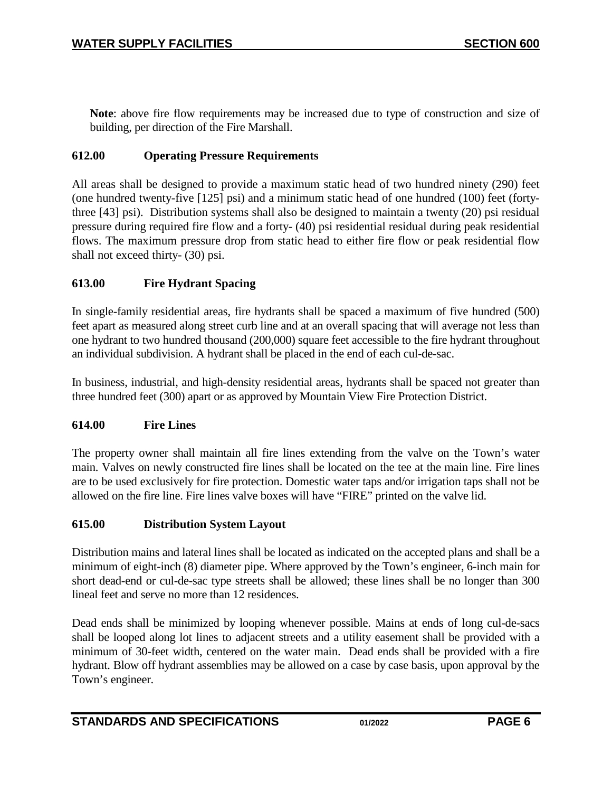**Note**: above fire flow requirements may be increased due to type of construction and size of building, per direction of the Fire Marshall.

## <span id="page-5-0"></span>**612.00 Operating Pressure Requirements**

All areas shall be designed to provide a maximum static head of two hundred ninety (290) feet (one hundred twenty-five [125] psi) and a minimum static head of one hundred (100) feet (fortythree [43] psi). Distribution systems shall also be designed to maintain a twenty (20) psi residual pressure during required fire flow and a forty- (40) psi residential residual during peak residential flows. The maximum pressure drop from static head to either fire flow or peak residential flow shall not exceed thirty- (30) psi.

## <span id="page-5-1"></span>**613.00 Fire Hydrant Spacing**

In single-family residential areas, fire hydrants shall be spaced a maximum of five hundred (500) feet apart as measured along street curb line and at an overall spacing that will average not less than one hydrant to two hundred thousand (200,000) square feet accessible to the fire hydrant throughout an individual subdivision. A hydrant shall be placed in the end of each cul-de-sac.

In business, industrial, and high-density residential areas, hydrants shall be spaced not greater than three hundred feet (300) apart or as approved by Mountain View Fire Protection District.

#### <span id="page-5-2"></span>**614.00 Fire Lines**

The property owner shall maintain all fire lines extending from the valve on the Town's water main. Valves on newly constructed fire lines shall be located on the tee at the main line. Fire lines are to be used exclusively for fire protection. Domestic water taps and/or irrigation taps shall not be allowed on the fire line. Fire lines valve boxes will have "FIRE" printed on the valve lid.

#### <span id="page-5-3"></span>**615.00 Distribution System Layout**

Distribution mains and lateral lines shall be located as indicated on the accepted plans and shall be a minimum of eight-inch (8) diameter pipe. Where approved by the Town's engineer, 6-inch main for short dead-end or cul-de-sac type streets shall be allowed; these lines shall be no longer than 300 lineal feet and serve no more than 12 residences.

Dead ends shall be minimized by looping whenever possible. Mains at ends of long cul-de-sacs shall be looped along lot lines to adjacent streets and a utility easement shall be provided with a minimum of 30-feet width, centered on the water main. Dead ends shall be provided with a fire hydrant. Blow off hydrant assemblies may be allowed on a case by case basis, upon approval by the Town's engineer.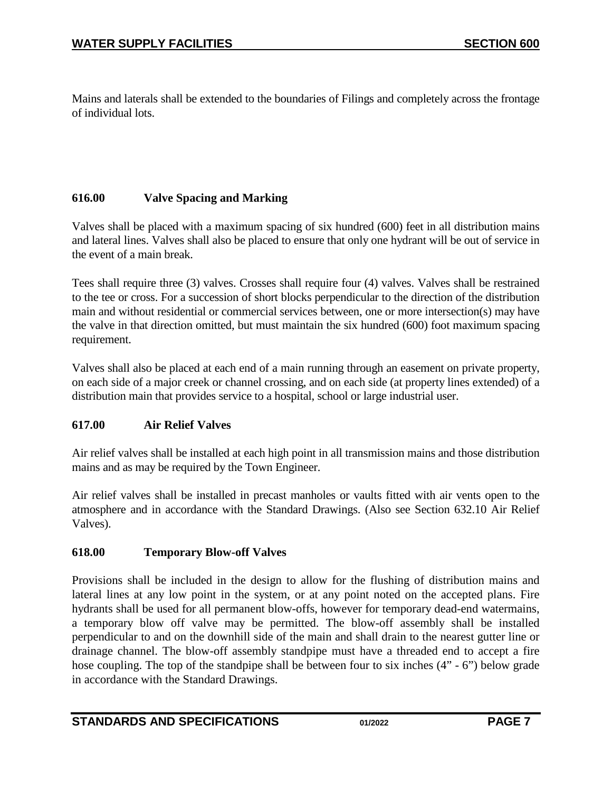Mains and laterals shall be extended to the boundaries of Filings and completely across the frontage of individual lots.

## <span id="page-6-0"></span>**616.00 Valve Spacing and Marking**

Valves shall be placed with a maximum spacing of six hundred (600) feet in all distribution mains and lateral lines. Valves shall also be placed to ensure that only one hydrant will be out of service in the event of a main break.

Tees shall require three (3) valves. Crosses shall require four (4) valves. Valves shall be restrained to the tee or cross. For a succession of short blocks perpendicular to the direction of the distribution main and without residential or commercial services between, one or more intersection(s) may have the valve in that direction omitted, but must maintain the six hundred (600) foot maximum spacing requirement.

Valves shall also be placed at each end of a main running through an easement on private property, on each side of a major creek or channel crossing, and on each side (at property lines extended) of a distribution main that provides service to a hospital, school or large industrial user.

## <span id="page-6-1"></span>**617.00 Air Relief Valves**

Air relief valves shall be installed at each high point in all transmission mains and those distribution mains and as may be required by the Town Engineer.

Air relief valves shall be installed in precast manholes or vaults fitted with air vents open to the atmosphere and in accordance with the Standard Drawings. (Also see Section 632.10 Air Relief Valves).

## <span id="page-6-2"></span>**618.00 Temporary Blow-off Valves**

Provisions shall be included in the design to allow for the flushing of distribution mains and lateral lines at any low point in the system, or at any point noted on the accepted plans. Fire hydrants shall be used for all permanent blow-offs, however for temporary dead-end watermains, a temporary blow off valve may be permitted. The blow-off assembly shall be installed perpendicular to and on the downhill side of the main and shall drain to the nearest gutter line or drainage channel. The blow-off assembly standpipe must have a threaded end to accept a fire hose coupling. The top of the standpipe shall be between four to six inches  $(4" - 6")$  below grade in accordance with the Standard Drawings.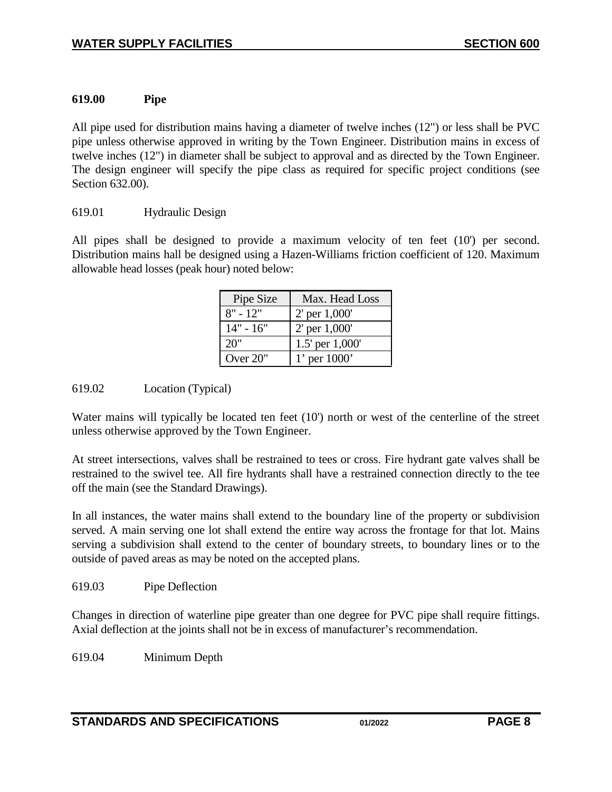## <span id="page-7-0"></span>**619.00 Pipe**

All pipe used for distribution mains having a diameter of twelve inches (12") or less shall be PVC pipe unless otherwise approved in writing by the Town Engineer. Distribution mains in excess of twelve inches (12") in diameter shall be subject to approval and as directed by the Town Engineer. The design engineer will specify the pipe class as required for specific project conditions (see Section 632.00).

#### <span id="page-7-1"></span>619.01 Hydraulic Design

All pipes shall be designed to provide a maximum velocity of ten feet (10') per second. Distribution mains hall be designed using a Hazen-Williams friction coefficient of 120. Maximum allowable head losses (peak hour) noted below:

| Pipe Size   | Max. Head Loss    |
|-------------|-------------------|
| $8" - 12"$  | $2'$ per $1,000'$ |
| $14" - 16"$ | $2'$ per $1,000'$ |
| 20"         | 1.5' per 1,000'   |
| Over $20$ " | 1' per $1000'$    |

## <span id="page-7-2"></span>619.02 Location (Typical)

Water mains will typically be located ten feet (10') north or west of the centerline of the street unless otherwise approved by the Town Engineer.

At street intersections, valves shall be restrained to tees or cross. Fire hydrant gate valves shall be restrained to the swivel tee. All fire hydrants shall have a restrained connection directly to the tee off the main (see the Standard Drawings).

In all instances, the water mains shall extend to the boundary line of the property or subdivision served. A main serving one lot shall extend the entire way across the frontage for that lot. Mains serving a subdivision shall extend to the center of boundary streets, to boundary lines or to the outside of paved areas as may be noted on the accepted plans.

#### <span id="page-7-3"></span>619.03 Pipe Deflection

Changes in direction of waterline pipe greater than one degree for PVC pipe shall require fittings. Axial deflection at the joints shall not be in excess of manufacturer's recommendation.

<span id="page-7-4"></span>619.04 Minimum Depth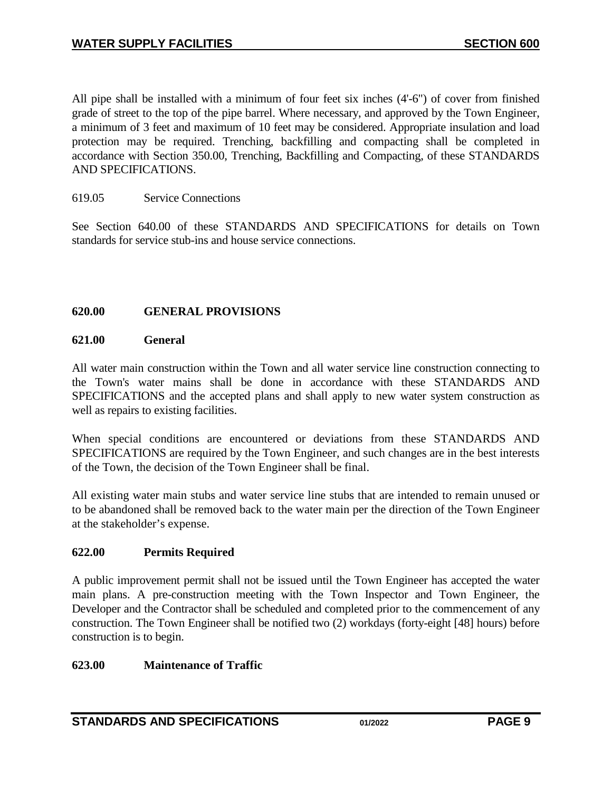All pipe shall be installed with a minimum of four feet six inches (4'-6") of cover from finished grade of street to the top of the pipe barrel. Where necessary, and approved by the Town Engineer, a minimum of 3 feet and maximum of 10 feet may be considered. Appropriate insulation and load protection may be required. Trenching, backfilling and compacting shall be completed in accordance with Section 350.00, Trenching, Backfilling and Compacting, of these STANDARDS AND SPECIFICATIONS.

#### <span id="page-8-0"></span>619.05 Service Connections

See Section 640.00 of these STANDARDS AND SPECIFICATIONS for details on Town standards for service stub-ins and house service connections.

#### <span id="page-8-1"></span>**620.00 GENERAL PROVISIONS**

#### <span id="page-8-2"></span>**621.00 General**

All water main construction within the Town and all water service line construction connecting to the Town's water mains shall be done in accordance with these STANDARDS AND SPECIFICATIONS and the accepted plans and shall apply to new water system construction as well as repairs to existing facilities.

When special conditions are encountered or deviations from these STANDARDS AND SPECIFICATIONS are required by the Town Engineer, and such changes are in the best interests of the Town, the decision of the Town Engineer shall be final.

All existing water main stubs and water service line stubs that are intended to remain unused or to be abandoned shall be removed back to the water main per the direction of the Town Engineer at the stakeholder's expense.

#### <span id="page-8-3"></span>**622.00 Permits Required**

A public improvement permit shall not be issued until the Town Engineer has accepted the water main plans. A pre-construction meeting with the Town Inspector and Town Engineer, the Developer and the Contractor shall be scheduled and completed prior to the commencement of any construction. The Town Engineer shall be notified two (2) workdays (forty-eight [48] hours) before construction is to begin.

#### <span id="page-8-4"></span>**623.00 Maintenance of Traffic**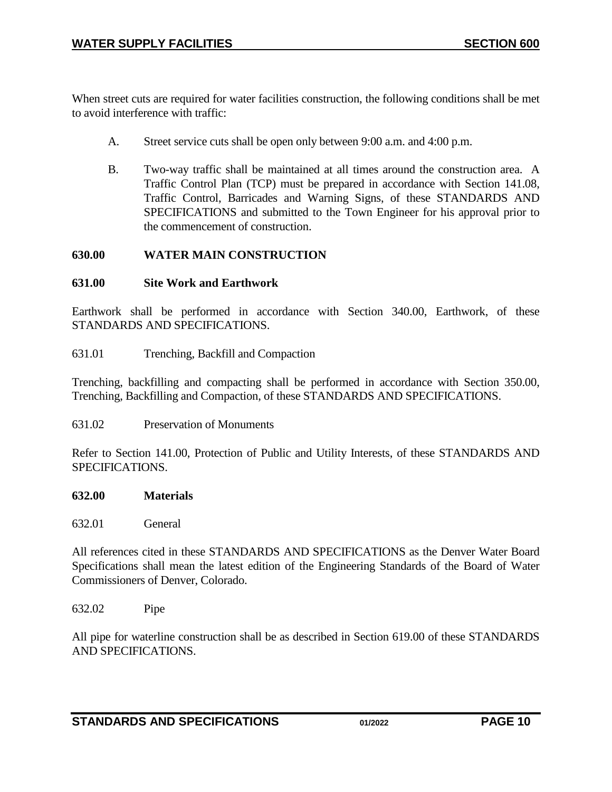When street cuts are required for water facilities construction, the following conditions shall be met to avoid interference with traffic:

- A. Street service cuts shall be open only between 9:00 a.m. and 4:00 p.m.
- B. Two-way traffic shall be maintained at all times around the construction area. A Traffic Control Plan (TCP) must be prepared in accordance with Section 141.08, Traffic Control, Barricades and Warning Signs, of these STANDARDS AND SPECIFICATIONS and submitted to the Town Engineer for his approval prior to the commencement of construction.

#### <span id="page-9-0"></span>**630.00 WATER MAIN CONSTRUCTION**

#### <span id="page-9-1"></span>**631.00 Site Work and Earthwork**

Earthwork shall be performed in accordance with Section 340.00, Earthwork, of these STANDARDS AND SPECIFICATIONS.

<span id="page-9-2"></span>631.01 Trenching, Backfill and Compaction

Trenching, backfilling and compacting shall be performed in accordance with Section 350.00, Trenching, Backfilling and Compaction, of these STANDARDS AND SPECIFICATIONS.

<span id="page-9-3"></span>631.02 Preservation of Monuments

Refer to Section 141.00, Protection of Public and Utility Interests, of these STANDARDS AND SPECIFICATIONS.

#### <span id="page-9-4"></span>**632.00 Materials**

<span id="page-9-5"></span>632.01 General

All references cited in these STANDARDS AND SPECIFICATIONS as the Denver Water Board Specifications shall mean the latest edition of the Engineering Standards of the Board of Water Commissioners of Denver, Colorado.

<span id="page-9-6"></span>632.02 Pipe

All pipe for waterline construction shall be as described in Section 619.00 of these STANDARDS AND SPECIFICATIONS.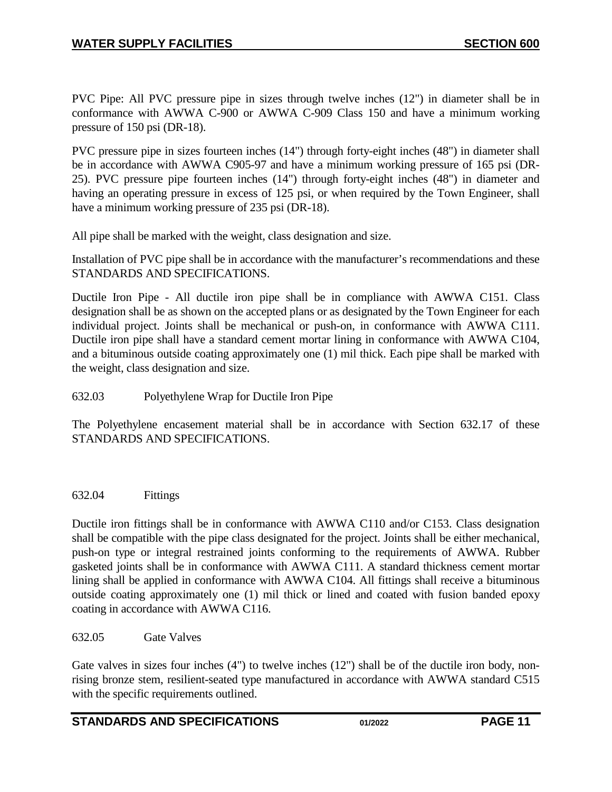PVC Pipe: All PVC pressure pipe in sizes through twelve inches (12") in diameter shall be in conformance with AWWA C-900 or AWWA C-909 Class 150 and have a minimum working pressure of 150 psi (DR-18).

PVC pressure pipe in sizes fourteen inches (14") through forty-eight inches (48") in diameter shall be in accordance with AWWA C905-97 and have a minimum working pressure of 165 psi (DR-25). PVC pressure pipe fourteen inches (14") through forty-eight inches (48") in diameter and having an operating pressure in excess of 125 psi, or when required by the Town Engineer, shall have a minimum working pressure of 235 psi (DR-18).

All pipe shall be marked with the weight, class designation and size.

Installation of PVC pipe shall be in accordance with the manufacturer's recommendations and these STANDARDS AND SPECIFICATIONS.

Ductile Iron Pipe - All ductile iron pipe shall be in compliance with AWWA C151. Class designation shall be as shown on the accepted plans or as designated by the Town Engineer for each individual project. Joints shall be mechanical or push-on, in conformance with AWWA C111. Ductile iron pipe shall have a standard cement mortar lining in conformance with AWWA C104, and a bituminous outside coating approximately one (1) mil thick. Each pipe shall be marked with the weight, class designation and size.

### <span id="page-10-0"></span>632.03 Polyethylene Wrap for Ductile Iron Pipe

The Polyethylene encasement material shall be in accordance with Section 632.17 of these STANDARDS AND SPECIFICATIONS.

<span id="page-10-1"></span>632.04 Fittings

Ductile iron fittings shall be in conformance with AWWA C110 and/or C153. Class designation shall be compatible with the pipe class designated for the project. Joints shall be either mechanical, push-on type or integral restrained joints conforming to the requirements of AWWA. Rubber gasketed joints shall be in conformance with AWWA C111. A standard thickness cement mortar lining shall be applied in conformance with AWWA C104. All fittings shall receive a bituminous outside coating approximately one (1) mil thick or lined and coated with fusion banded epoxy coating in accordance with AWWA C116.

#### <span id="page-10-2"></span>632.05 Gate Valves

Gate valves in sizes four inches (4") to twelve inches (12") shall be of the ductile iron body, nonrising bronze stem, resilient-seated type manufactured in accordance with AWWA standard C515 with the specific requirements outlined.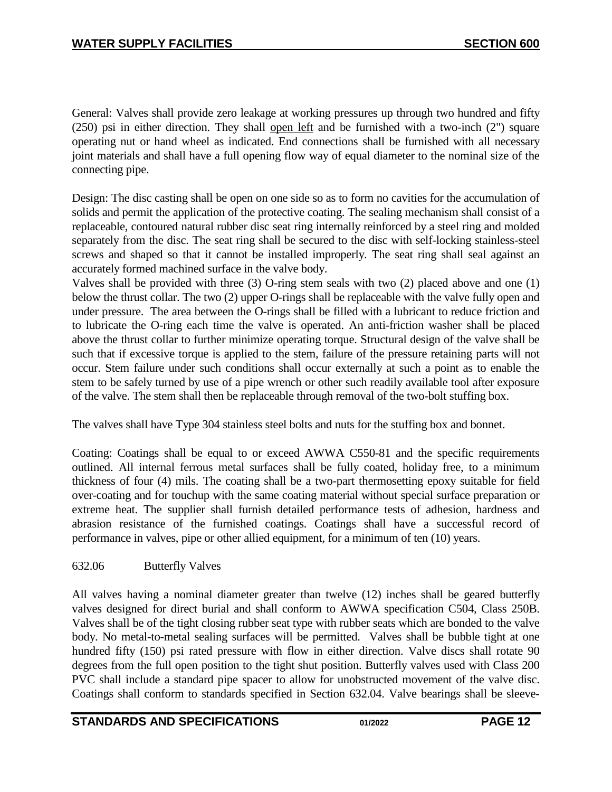General: Valves shall provide zero leakage at working pressures up through two hundred and fifty (250) psi in either direction. They shall open left and be furnished with a two-inch (2") square operating nut or hand wheel as indicated. End connections shall be furnished with all necessary joint materials and shall have a full opening flow way of equal diameter to the nominal size of the connecting pipe.

Design: The disc casting shall be open on one side so as to form no cavities for the accumulation of solids and permit the application of the protective coating. The sealing mechanism shall consist of a replaceable, contoured natural rubber disc seat ring internally reinforced by a steel ring and molded separately from the disc. The seat ring shall be secured to the disc with self-locking stainless-steel screws and shaped so that it cannot be installed improperly. The seat ring shall seal against an accurately formed machined surface in the valve body.

Valves shall be provided with three (3) O-ring stem seals with two (2) placed above and one (1) below the thrust collar. The two (2) upper O-rings shall be replaceable with the valve fully open and under pressure. The area between the O-rings shall be filled with a lubricant to reduce friction and to lubricate the O-ring each time the valve is operated. An anti-friction washer shall be placed above the thrust collar to further minimize operating torque. Structural design of the valve shall be such that if excessive torque is applied to the stem, failure of the pressure retaining parts will not occur. Stem failure under such conditions shall occur externally at such a point as to enable the stem to be safely turned by use of a pipe wrench or other such readily available tool after exposure of the valve. The stem shall then be replaceable through removal of the two-bolt stuffing box.

The valves shall have Type 304 stainless steel bolts and nuts for the stuffing box and bonnet.

Coating: Coatings shall be equal to or exceed AWWA C550-81 and the specific requirements outlined. All internal ferrous metal surfaces shall be fully coated, holiday free, to a minimum thickness of four (4) mils. The coating shall be a two-part thermosetting epoxy suitable for field over-coating and for touchup with the same coating material without special surface preparation or extreme heat. The supplier shall furnish detailed performance tests of adhesion, hardness and abrasion resistance of the furnished coatings. Coatings shall have a successful record of performance in valves, pipe or other allied equipment, for a minimum of ten (10) years.

## <span id="page-11-0"></span>632.06 Butterfly Valves

All valves having a nominal diameter greater than twelve (12) inches shall be geared butterfly valves designed for direct burial and shall conform to AWWA specification C504, Class 250B. Valves shall be of the tight closing rubber seat type with rubber seats which are bonded to the valve body. No metal-to-metal sealing surfaces will be permitted. Valves shall be bubble tight at one hundred fifty (150) psi rated pressure with flow in either direction. Valve discs shall rotate 90 degrees from the full open position to the tight shut position. Butterfly valves used with Class 200 PVC shall include a standard pipe spacer to allow for unobstructed movement of the valve disc. Coatings shall conform to standards specified in Section 632.04. Valve bearings shall be sleeve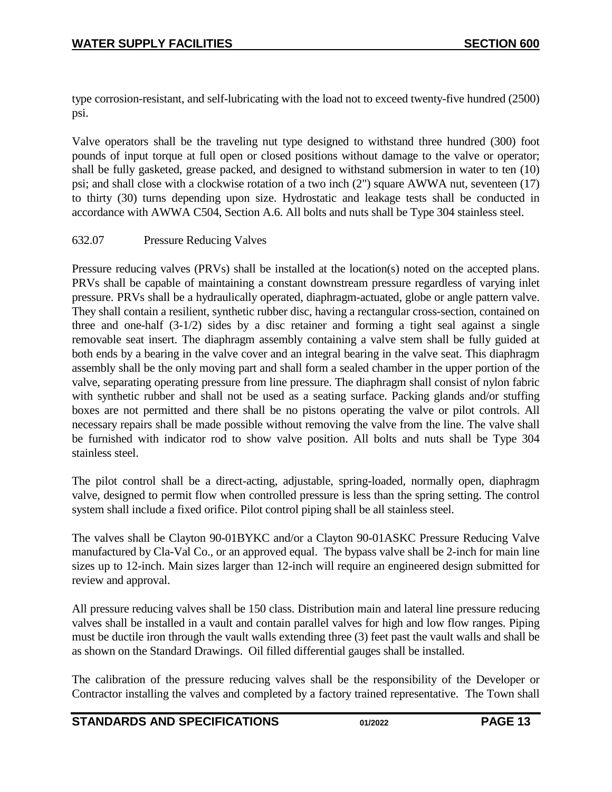type corrosion-resistant, and self-lubricating with the load not to exceed twenty-five hundred (2500) psi.

Valve operators shall be the traveling nut type designed to withstand three hundred (300) foot pounds of input torque at full open or closed positions without damage to the valve or operator; shall be fully gasketed, grease packed, and designed to withstand submersion in water to ten (10) psi; and shall close with a clockwise rotation of a two inch (2") square AWWA nut, seventeen (17) to thirty (30) turns depending upon size. Hydrostatic and leakage tests shall be conducted in accordance with AWWA C504, Section A.6. All bolts and nuts shall be Type 304 stainless steel.

#### <span id="page-12-0"></span>632.07 Pressure Reducing Valves

Pressure reducing valves (PRVs) shall be installed at the location(s) noted on the accepted plans. PRVs shall be capable of maintaining a constant downstream pressure regardless of varying inlet pressure. PRVs shall be a hydraulically operated, diaphragm-actuated, globe or angle pattern valve. They shall contain a resilient, synthetic rubber disc, having a rectangular cross-section, contained on three and one-half (3-1/2) sides by a disc retainer and forming a tight seal against a single removable seat insert. The diaphragm assembly containing a valve stem shall be fully guided at both ends by a bearing in the valve cover and an integral bearing in the valve seat. This diaphragm assembly shall be the only moving part and shall form a sealed chamber in the upper portion of the valve, separating operating pressure from line pressure. The diaphragm shall consist of nylon fabric with synthetic rubber and shall not be used as a seating surface. Packing glands and/or stuffing boxes are not permitted and there shall be no pistons operating the valve or pilot controls. All necessary repairs shall be made possible without removing the valve from the line. The valve shall be furnished with indicator rod to show valve position. All bolts and nuts shall be Type 304 stainless steel.

The pilot control shall be a direct-acting, adjustable, spring-loaded, normally open, diaphragm valve, designed to permit flow when controlled pressure is less than the spring setting. The control system shall include a fixed orifice. Pilot control piping shall be all stainless steel.

The valves shall be Clayton 90-01BYKC and/or a Clayton 90-01ASKC Pressure Reducing Valve manufactured by Cla-Val Co., or an approved equal. The bypass valve shall be 2-inch for main line sizes up to 12-inch. Main sizes larger than 12-inch will require an engineered design submitted for review and approval.

All pressure reducing valves shall be 150 class. Distribution main and lateral line pressure reducing valves shall be installed in a vault and contain parallel valves for high and low flow ranges. Piping must be ductile iron through the vault walls extending three (3) feet past the vault walls and shall be as shown on the Standard Drawings. Oil filled differential gauges shall be installed.

The calibration of the pressure reducing valves shall be the responsibility of the Developer or Contractor installing the valves and completed by a factory trained representative. The Town shall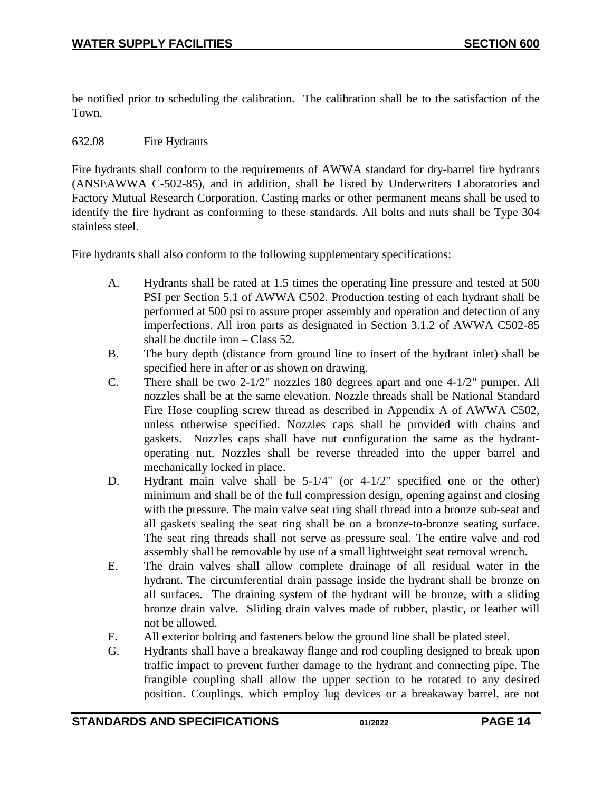be notified prior to scheduling the calibration. The calibration shall be to the satisfaction of the Town.

#### <span id="page-13-0"></span>632.08 Fire Hydrants

Fire hydrants shall conform to the requirements of AWWA standard for dry-barrel fire hydrants (ANSI\AWWA C-502-85), and in addition, shall be listed by Underwriters Laboratories and Factory Mutual Research Corporation. Casting marks or other permanent means shall be used to identify the fire hydrant as conforming to these standards. All bolts and nuts shall be Type 304 stainless steel.

Fire hydrants shall also conform to the following supplementary specifications:

- A. Hydrants shall be rated at 1.5 times the operating line pressure and tested at 500 PSI per Section 5.1 of AWWA C502. Production testing of each hydrant shall be performed at 500 psi to assure proper assembly and operation and detection of any imperfections. All iron parts as designated in Section 3.1.2 of AWWA C502-85 shall be ductile iron – Class 52.
- B. The bury depth (distance from ground line to insert of the hydrant inlet) shall be specified here in after or as shown on drawing.
- C. There shall be two 2-1/2" nozzles 180 degrees apart and one 4-1/2" pumper. All nozzles shall be at the same elevation. Nozzle threads shall be National Standard Fire Hose coupling screw thread as described in Appendix A of AWWA C502, unless otherwise specified. Nozzles caps shall be provided with chains and gaskets. Nozzles caps shall have nut configuration the same as the hydrantoperating nut. Nozzles shall be reverse threaded into the upper barrel and mechanically locked in place.
- D. Hydrant main valve shall be 5-1/4" (or 4-1/2" specified one or the other) minimum and shall be of the full compression design, opening against and closing with the pressure. The main valve seat ring shall thread into a bronze sub-seat and all gaskets sealing the seat ring shall be on a bronze-to-bronze seating surface. The seat ring threads shall not serve as pressure seal. The entire valve and rod assembly shall be removable by use of a small lightweight seat removal wrench.
- E. The drain valves shall allow complete drainage of all residual water in the hydrant. The circumferential drain passage inside the hydrant shall be bronze on all surfaces. The draining system of the hydrant will be bronze, with a sliding bronze drain valve. Sliding drain valves made of rubber, plastic, or leather will not be allowed.
- F. All exterior bolting and fasteners below the ground line shall be plated steel.
- G. Hydrants shall have a breakaway flange and rod coupling designed to break upon traffic impact to prevent further damage to the hydrant and connecting pipe. The frangible coupling shall allow the upper section to be rotated to any desired position. Couplings, which employ lug devices or a breakaway barrel, are not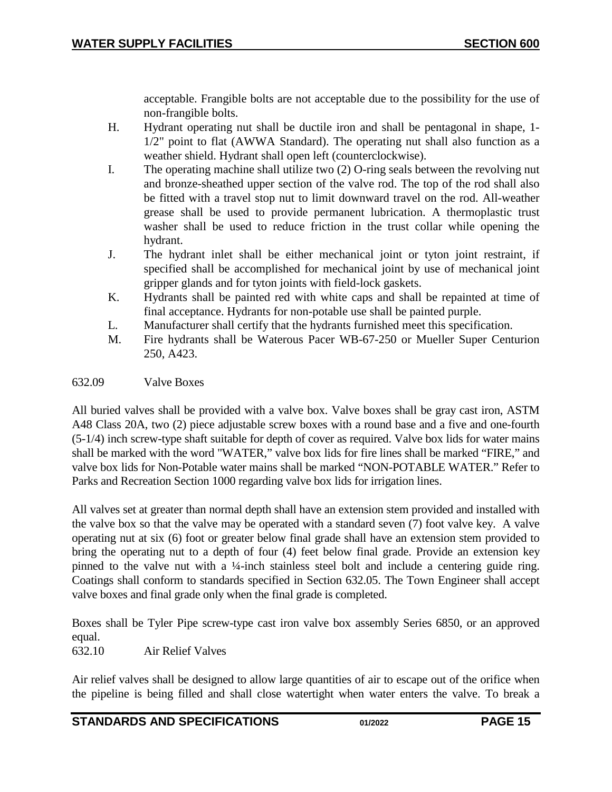acceptable. Frangible bolts are not acceptable due to the possibility for the use of non-frangible bolts.

- H. Hydrant operating nut shall be ductile iron and shall be pentagonal in shape, 1- 1/2" point to flat (AWWA Standard). The operating nut shall also function as a weather shield. Hydrant shall open left (counterclockwise).
- I. The operating machine shall utilize two (2) O-ring seals between the revolving nut and bronze-sheathed upper section of the valve rod. The top of the rod shall also be fitted with a travel stop nut to limit downward travel on the rod. All-weather grease shall be used to provide permanent lubrication. A thermoplastic trust washer shall be used to reduce friction in the trust collar while opening the hydrant.
- J. The hydrant inlet shall be either mechanical joint or tyton joint restraint, if specified shall be accomplished for mechanical joint by use of mechanical joint gripper glands and for tyton joints with field-lock gaskets.
- K. Hydrants shall be painted red with white caps and shall be repainted at time of final acceptance. Hydrants for non-potable use shall be painted purple.
- L. Manufacturer shall certify that the hydrants furnished meet this specification.
- M. Fire hydrants shall be Waterous Pacer WB-67-250 or Mueller Super Centurion 250, A423.

#### <span id="page-14-0"></span>632.09 Valve Boxes

All buried valves shall be provided with a valve box. Valve boxes shall be gray cast iron, ASTM A48 Class 20A, two (2) piece adjustable screw boxes with a round base and a five and one-fourth (5-1/4) inch screw-type shaft suitable for depth of cover as required. Valve box lids for water mains shall be marked with the word "WATER," valve box lids for fire lines shall be marked "FIRE," and valve box lids for Non-Potable water mains shall be marked "NON-POTABLE WATER." Refer to Parks and Recreation Section 1000 regarding valve box lids for irrigation lines.

All valves set at greater than normal depth shall have an extension stem provided and installed with the valve box so that the valve may be operated with a standard seven (7) foot valve key. A valve operating nut at six (6) foot or greater below final grade shall have an extension stem provided to bring the operating nut to a depth of four (4) feet below final grade. Provide an extension key pinned to the valve nut with a ¼-inch stainless steel bolt and include a centering guide ring. Coatings shall conform to standards specified in Section 632.05. The Town Engineer shall accept valve boxes and final grade only when the final grade is completed.

Boxes shall be Tyler Pipe screw-type cast iron valve box assembly Series 6850, or an approved equal.

<span id="page-14-1"></span>632.10 Air Relief Valves

Air relief valves shall be designed to allow large quantities of air to escape out of the orifice when the pipeline is being filled and shall close watertight when water enters the valve. To break a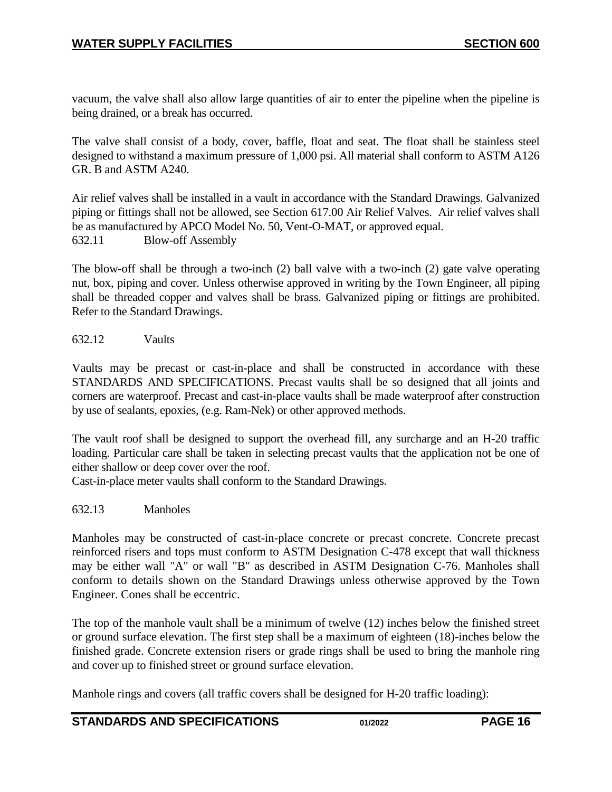vacuum, the valve shall also allow large quantities of air to enter the pipeline when the pipeline is being drained, or a break has occurred.

The valve shall consist of a body, cover, baffle, float and seat. The float shall be stainless steel designed to withstand a maximum pressure of 1,000 psi. All material shall conform to ASTM A126 GR. B and ASTM A240.

Air relief valves shall be installed in a vault in accordance with the Standard Drawings. Galvanized piping or fittings shall not be allowed, see Section 617.00 Air Relief Valves. Air relief valves shall be as manufactured by APCO Model No. 50, Vent-O-MAT, or approved equal. 632.11 Blow-off Assembly

<span id="page-15-0"></span>The blow-off shall be through a two-inch (2) ball valve with a two-inch (2) gate valve operating nut, box, piping and cover. Unless otherwise approved in writing by the Town Engineer, all piping shall be threaded copper and valves shall be brass. Galvanized piping or fittings are prohibited. Refer to the Standard Drawings.

<span id="page-15-1"></span>632.12 Vaults

Vaults may be precast or cast-in-place and shall be constructed in accordance with these STANDARDS AND SPECIFICATIONS. Precast vaults shall be so designed that all joints and corners are waterproof. Precast and cast-in-place vaults shall be made waterproof after construction by use of sealants, epoxies, (e.g. Ram-Nek) or other approved methods.

The vault roof shall be designed to support the overhead fill, any surcharge and an H-20 traffic loading. Particular care shall be taken in selecting precast vaults that the application not be one of either shallow or deep cover over the roof.

Cast-in-place meter vaults shall conform to the Standard Drawings.

#### <span id="page-15-2"></span>632.13 Manholes

Manholes may be constructed of cast-in-place concrete or precast concrete. Concrete precast reinforced risers and tops must conform to ASTM Designation C-478 except that wall thickness may be either wall "A" or wall "B" as described in ASTM Designation C-76. Manholes shall conform to details shown on the Standard Drawings unless otherwise approved by the Town Engineer. Cones shall be eccentric.

The top of the manhole vault shall be a minimum of twelve (12) inches below the finished street or ground surface elevation. The first step shall be a maximum of eighteen (18)-inches below the finished grade. Concrete extension risers or grade rings shall be used to bring the manhole ring and cover up to finished street or ground surface elevation.

Manhole rings and covers (all traffic covers shall be designed for H-20 traffic loading):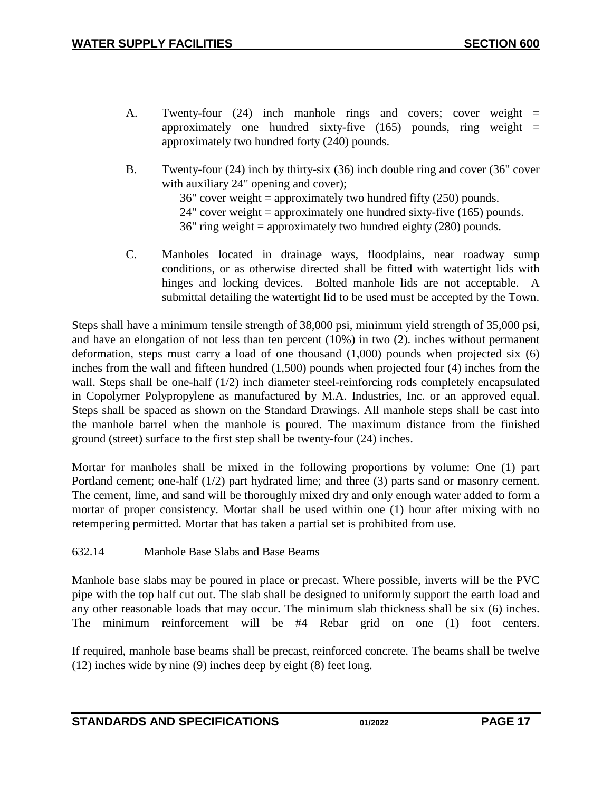- A. Twenty-four (24) inch manhole rings and covers; cover weight = approximately one hundred sixty-five  $(165)$  pounds, ring weight = approximately two hundred forty (240) pounds.
- B. Twenty-four (24) inch by thirty-six (36) inch double ring and cover (36" cover with auxiliary 24" opening and cover); 36" cover weight = approximately two hundred fifty  $(250)$  pounds. 24" cover weight = approximately one hundred sixty-five  $(165)$  pounds. 36" ring weight = approximately two hundred eighty (280) pounds.
- C. Manholes located in drainage ways, floodplains, near roadway sump conditions, or as otherwise directed shall be fitted with watertight lids with hinges and locking devices. Bolted manhole lids are not acceptable. A submittal detailing the watertight lid to be used must be accepted by the Town.

Steps shall have a minimum tensile strength of 38,000 psi, minimum yield strength of 35,000 psi, and have an elongation of not less than ten percent (10%) in two (2). inches without permanent deformation, steps must carry a load of one thousand  $(1,000)$  pounds when projected six  $(6)$ inches from the wall and fifteen hundred (1,500) pounds when projected four (4) inches from the wall. Steps shall be one-half (1/2) inch diameter steel-reinforcing rods completely encapsulated in Copolymer Polypropylene as manufactured by M.A. Industries, Inc. or an approved equal. Steps shall be spaced as shown on the Standard Drawings. All manhole steps shall be cast into the manhole barrel when the manhole is poured. The maximum distance from the finished ground (street) surface to the first step shall be twenty-four (24) inches.

Mortar for manholes shall be mixed in the following proportions by volume: One (1) part Portland cement; one-half (1/2) part hydrated lime; and three (3) parts sand or masonry cement. The cement, lime, and sand will be thoroughly mixed dry and only enough water added to form a mortar of proper consistency. Mortar shall be used within one (1) hour after mixing with no retempering permitted. Mortar that has taken a partial set is prohibited from use.

<span id="page-16-0"></span>632.14 Manhole Base Slabs and Base Beams

Manhole base slabs may be poured in place or precast. Where possible, inverts will be the PVC pipe with the top half cut out. The slab shall be designed to uniformly support the earth load and any other reasonable loads that may occur. The minimum slab thickness shall be six (6) inches. The minimum reinforcement will be #4 Rebar grid on one (1) foot centers.

If required, manhole base beams shall be precast, reinforced concrete. The beams shall be twelve (12) inches wide by nine (9) inches deep by eight (8) feet long.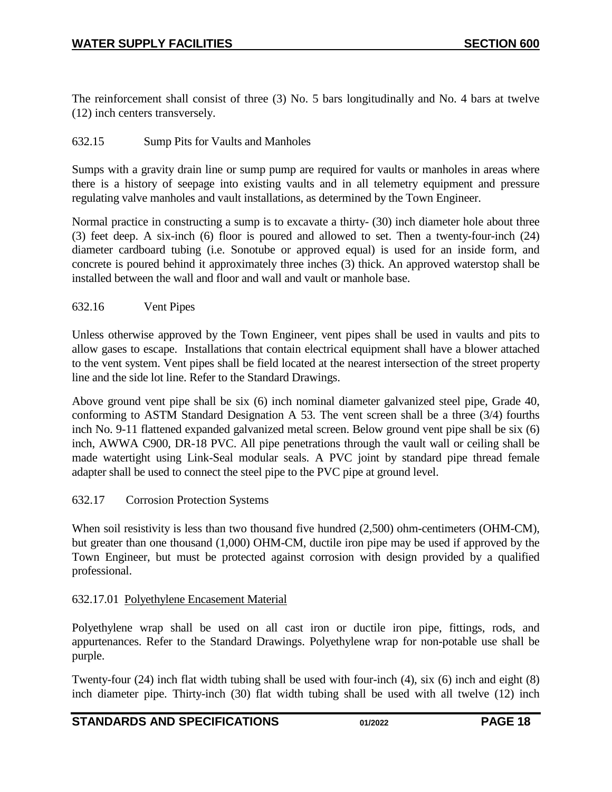The reinforcement shall consist of three (3) No. 5 bars longitudinally and No. 4 bars at twelve (12) inch centers transversely.

#### <span id="page-17-0"></span>632.15 Sump Pits for Vaults and Manholes

Sumps with a gravity drain line or sump pump are required for vaults or manholes in areas where there is a history of seepage into existing vaults and in all telemetry equipment and pressure regulating valve manholes and vault installations, as determined by the Town Engineer.

Normal practice in constructing a sump is to excavate a thirty- (30) inch diameter hole about three (3) feet deep. A six-inch (6) floor is poured and allowed to set. Then a twenty-four-inch (24) diameter cardboard tubing (i.e. Sonotube or approved equal) is used for an inside form, and concrete is poured behind it approximately three inches (3) thick. An approved waterstop shall be installed between the wall and floor and wall and vault or manhole base.

#### <span id="page-17-1"></span>632.16 Vent Pipes

Unless otherwise approved by the Town Engineer, vent pipes shall be used in vaults and pits to allow gases to escape. Installations that contain electrical equipment shall have a blower attached to the vent system. Vent pipes shall be field located at the nearest intersection of the street property line and the side lot line. Refer to the Standard Drawings.

Above ground vent pipe shall be six (6) inch nominal diameter galvanized steel pipe, Grade 40, conforming to ASTM Standard Designation A 53. The vent screen shall be a three (3/4) fourths inch No. 9-11 flattened expanded galvanized metal screen. Below ground vent pipe shall be six (6) inch, AWWA C900, DR-18 PVC. All pipe penetrations through the vault wall or ceiling shall be made watertight using Link-Seal modular seals. A PVC joint by standard pipe thread female adapter shall be used to connect the steel pipe to the PVC pipe at ground level.

#### 632.17 Corrosion Protection Systems

When soil resistivity is less than two thousand five hundred  $(2,500)$  ohm-centimeters (OHM-CM), but greater than one thousand (1,000) OHM-CM, ductile iron pipe may be used if approved by the Town Engineer, but must be protected against corrosion with design provided by a qualified professional.

#### 632.17.01 Polyethylene Encasement Material

Polyethylene wrap shall be used on all cast iron or ductile iron pipe, fittings, rods, and appurtenances. Refer to the Standard Drawings. Polyethylene wrap for non-potable use shall be purple.

Twenty-four (24) inch flat width tubing shall be used with four-inch (4), six (6) inch and eight (8) inch diameter pipe. Thirty-inch (30) flat width tubing shall be used with all twelve (12) inch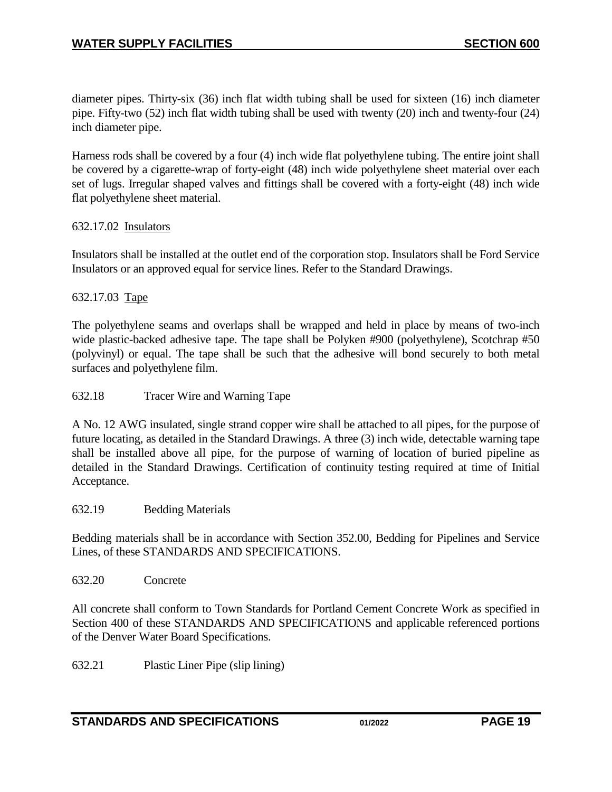diameter pipes. Thirty-six (36) inch flat width tubing shall be used for sixteen (16) inch diameter pipe. Fifty-two (52) inch flat width tubing shall be used with twenty (20) inch and twenty-four (24) inch diameter pipe.

Harness rods shall be covered by a four (4) inch wide flat polyethylene tubing. The entire joint shall be covered by a cigarette-wrap of forty-eight (48) inch wide polyethylene sheet material over each set of lugs. Irregular shaped valves and fittings shall be covered with a forty-eight (48) inch wide flat polyethylene sheet material.

## 632.17.02 Insulators

Insulators shall be installed at the outlet end of the corporation stop. Insulators shall be Ford Service Insulators or an approved equal for service lines. Refer to the Standard Drawings.

## 632.17.03 Tape

The polyethylene seams and overlaps shall be wrapped and held in place by means of two-inch wide plastic-backed adhesive tape. The tape shall be Polyken #900 (polyethylene), Scotchrap #50 (polyvinyl) or equal. The tape shall be such that the adhesive will bond securely to both metal surfaces and polyethylene film.

### <span id="page-18-0"></span>632.18 Tracer Wire and Warning Tape

A No. 12 AWG insulated, single strand copper wire shall be attached to all pipes, for the purpose of future locating, as detailed in the Standard Drawings. A three (3) inch wide, detectable warning tape shall be installed above all pipe, for the purpose of warning of location of buried pipeline as detailed in the Standard Drawings. Certification of continuity testing required at time of Initial Acceptance.

#### <span id="page-18-1"></span>632.19 Bedding Materials

Bedding materials shall be in accordance with Section 352.00, Bedding for Pipelines and Service Lines, of these STANDARDS AND SPECIFICATIONS.

<span id="page-18-2"></span>632.20 Concrete

All concrete shall conform to Town Standards for Portland Cement Concrete Work as specified in Section 400 of these STANDARDS AND SPECIFICATIONS and applicable referenced portions of the Denver Water Board Specifications.

<span id="page-18-3"></span>632.21 Plastic Liner Pipe (slip lining)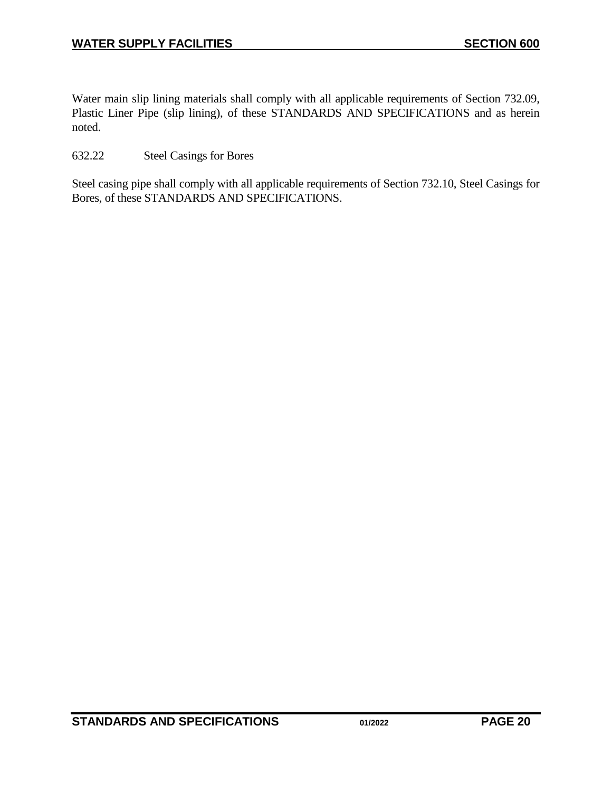Water main slip lining materials shall comply with all applicable requirements of Section 732.09, Plastic Liner Pipe (slip lining), of these STANDARDS AND SPECIFICATIONS and as herein noted.

## <span id="page-19-0"></span>632.22 Steel Casings for Bores

Steel casing pipe shall comply with all applicable requirements of Section 732.10, Steel Casings for Bores, of these STANDARDS AND SPECIFICATIONS.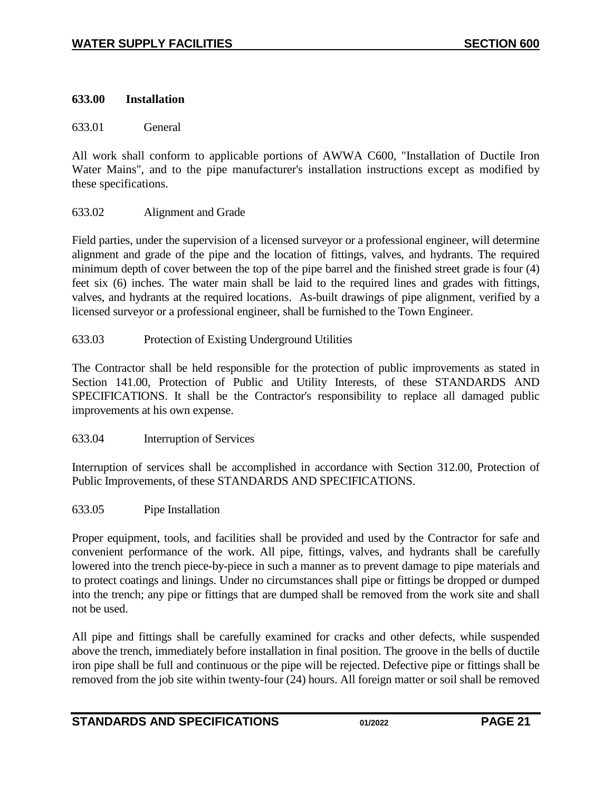### **633.00 Installation**

<span id="page-20-0"></span>633.01 General

All work shall conform to applicable portions of AWWA C600, "Installation of Ductile Iron Water Mains", and to the pipe manufacturer's installation instructions except as modified by these specifications.

## <span id="page-20-1"></span>633.02 Alignment and Grade

Field parties, under the supervision of a licensed surveyor or a professional engineer, will determine alignment and grade of the pipe and the location of fittings, valves, and hydrants. The required minimum depth of cover between the top of the pipe barrel and the finished street grade is four (4) feet six (6) inches. The water main shall be laid to the required lines and grades with fittings, valves, and hydrants at the required locations. As-built drawings of pipe alignment, verified by a licensed surveyor or a professional engineer, shall be furnished to the Town Engineer.

<span id="page-20-2"></span>633.03 Protection of Existing Underground Utilities

The Contractor shall be held responsible for the protection of public improvements as stated in Section 141.00, Protection of Public and Utility Interests, of these STANDARDS AND SPECIFICATIONS. It shall be the Contractor's responsibility to replace all damaged public improvements at his own expense.

<span id="page-20-3"></span>633.04 Interruption of Services

Interruption of services shall be accomplished in accordance with Section 312.00, Protection of Public Improvements, of these STANDARDS AND SPECIFICATIONS.

<span id="page-20-4"></span>633.05 Pipe Installation

Proper equipment, tools, and facilities shall be provided and used by the Contractor for safe and convenient performance of the work. All pipe, fittings, valves, and hydrants shall be carefully lowered into the trench piece-by-piece in such a manner as to prevent damage to pipe materials and to protect coatings and linings. Under no circumstances shall pipe or fittings be dropped or dumped into the trench; any pipe or fittings that are dumped shall be removed from the work site and shall not be used.

All pipe and fittings shall be carefully examined for cracks and other defects, while suspended above the trench, immediately before installation in final position. The groove in the bells of ductile iron pipe shall be full and continuous or the pipe will be rejected. Defective pipe or fittings shall be removed from the job site within twenty-four (24) hours. All foreign matter or soil shall be removed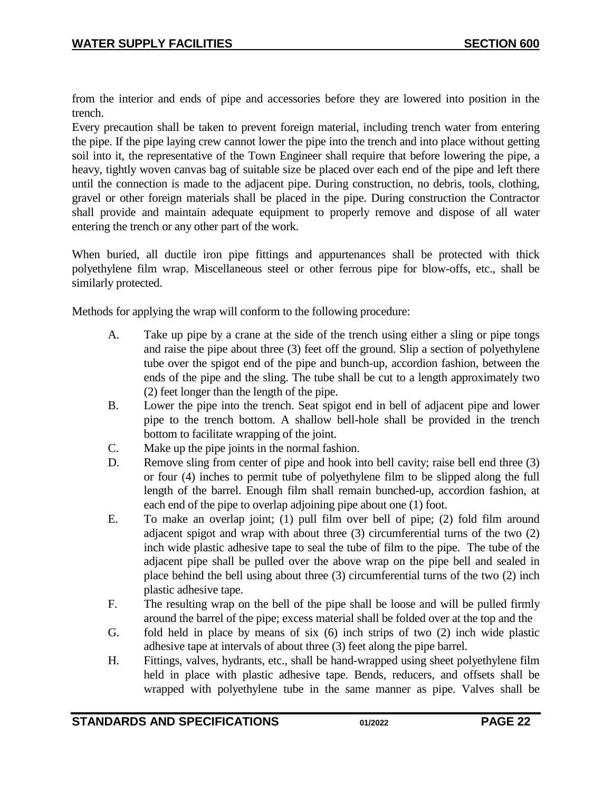from the interior and ends of pipe and accessories before they are lowered into position in the trench.

Every precaution shall be taken to prevent foreign material, including trench water from entering the pipe. If the pipe laying crew cannot lower the pipe into the trench and into place without getting soil into it, the representative of the Town Engineer shall require that before lowering the pipe, a heavy, tightly woven canvas bag of suitable size be placed over each end of the pipe and left there until the connection is made to the adjacent pipe. During construction, no debris, tools, clothing, gravel or other foreign materials shall be placed in the pipe. During construction the Contractor shall provide and maintain adequate equipment to properly remove and dispose of all water entering the trench or any other part of the work.

When buried, all ductile iron pipe fittings and appurtenances shall be protected with thick polyethylene film wrap. Miscellaneous steel or other ferrous pipe for blow-offs, etc., shall be similarly protected.

Methods for applying the wrap will conform to the following procedure:

- A. Take up pipe by a crane at the side of the trench using either a sling or pipe tongs and raise the pipe about three (3) feet off the ground. Slip a section of polyethylene tube over the spigot end of the pipe and bunch-up, accordion fashion, between the ends of the pipe and the sling. The tube shall be cut to a length approximately two (2) feet longer than the length of the pipe.
- B. Lower the pipe into the trench. Seat spigot end in bell of adjacent pipe and lower pipe to the trench bottom. A shallow bell-hole shall be provided in the trench bottom to facilitate wrapping of the joint.
- C. Make up the pipe joints in the normal fashion.
- D. Remove sling from center of pipe and hook into bell cavity; raise bell end three (3) or four (4) inches to permit tube of polyethylene film to be slipped along the full length of the barrel. Enough film shall remain bunched-up, accordion fashion, at each end of the pipe to overlap adjoining pipe about one (1) foot.
- E. To make an overlap joint; (1) pull film over bell of pipe; (2) fold film around adjacent spigot and wrap with about three (3) circumferential turns of the two (2) inch wide plastic adhesive tape to seal the tube of film to the pipe. The tube of the adjacent pipe shall be pulled over the above wrap on the pipe bell and sealed in place behind the bell using about three (3) circumferential turns of the two (2) inch plastic adhesive tape.
- F. The resulting wrap on the bell of the pipe shall be loose and will be pulled firmly around the barrel of the pipe; excess material shall be folded over at the top and the
- G. fold held in place by means of six (6) inch strips of two (2) inch wide plastic adhesive tape at intervals of about three (3) feet along the pipe barrel.
- H. Fittings, valves, hydrants, etc., shall be hand-wrapped using sheet polyethylene film held in place with plastic adhesive tape. Bends, reducers, and offsets shall be wrapped with polyethylene tube in the same manner as pipe. Valves shall be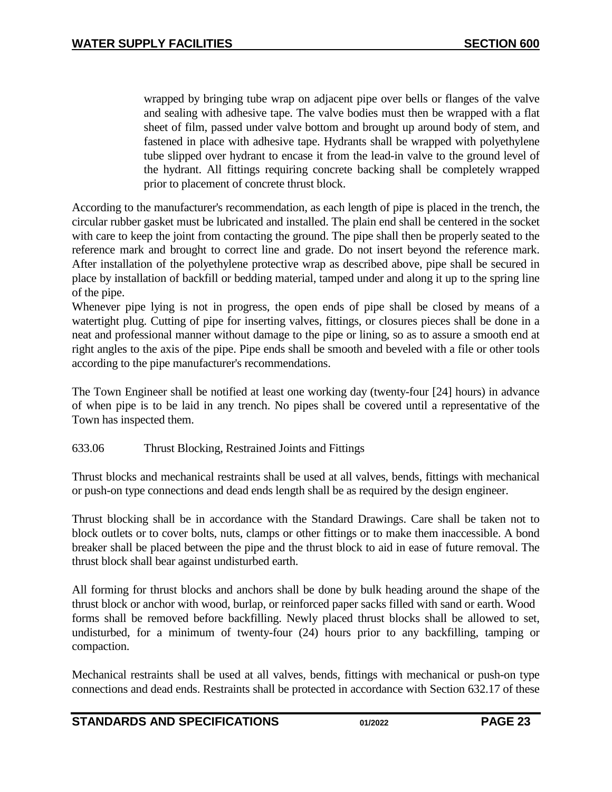wrapped by bringing tube wrap on adjacent pipe over bells or flanges of the valve and sealing with adhesive tape. The valve bodies must then be wrapped with a flat sheet of film, passed under valve bottom and brought up around body of stem, and fastened in place with adhesive tape. Hydrants shall be wrapped with polyethylene tube slipped over hydrant to encase it from the lead-in valve to the ground level of the hydrant. All fittings requiring concrete backing shall be completely wrapped prior to placement of concrete thrust block.

According to the manufacturer's recommendation, as each length of pipe is placed in the trench, the circular rubber gasket must be lubricated and installed. The plain end shall be centered in the socket with care to keep the joint from contacting the ground. The pipe shall then be properly seated to the reference mark and brought to correct line and grade. Do not insert beyond the reference mark. After installation of the polyethylene protective wrap as described above, pipe shall be secured in place by installation of backfill or bedding material, tamped under and along it up to the spring line of the pipe.

Whenever pipe lying is not in progress, the open ends of pipe shall be closed by means of a watertight plug. Cutting of pipe for inserting valves, fittings, or closures pieces shall be done in a neat and professional manner without damage to the pipe or lining, so as to assure a smooth end at right angles to the axis of the pipe. Pipe ends shall be smooth and beveled with a file or other tools according to the pipe manufacturer's recommendations.

The Town Engineer shall be notified at least one working day (twenty-four [24] hours) in advance of when pipe is to be laid in any trench. No pipes shall be covered until a representative of the Town has inspected them.

#### <span id="page-22-0"></span>633.06 Thrust Blocking, Restrained Joints and Fittings

Thrust blocks and mechanical restraints shall be used at all valves, bends, fittings with mechanical or push-on type connections and dead ends length shall be as required by the design engineer.

Thrust blocking shall be in accordance with the Standard Drawings. Care shall be taken not to block outlets or to cover bolts, nuts, clamps or other fittings or to make them inaccessible. A bond breaker shall be placed between the pipe and the thrust block to aid in ease of future removal. The thrust block shall bear against undisturbed earth.

All forming for thrust blocks and anchors shall be done by bulk heading around the shape of the thrust block or anchor with wood, burlap, or reinforced paper sacks filled with sand or earth. Wood forms shall be removed before backfilling. Newly placed thrust blocks shall be allowed to set, undisturbed, for a minimum of twenty-four (24) hours prior to any backfilling, tamping or compaction.

Mechanical restraints shall be used at all valves, bends, fittings with mechanical or push-on type connections and dead ends. Restraints shall be protected in accordance with Section 632.17 of these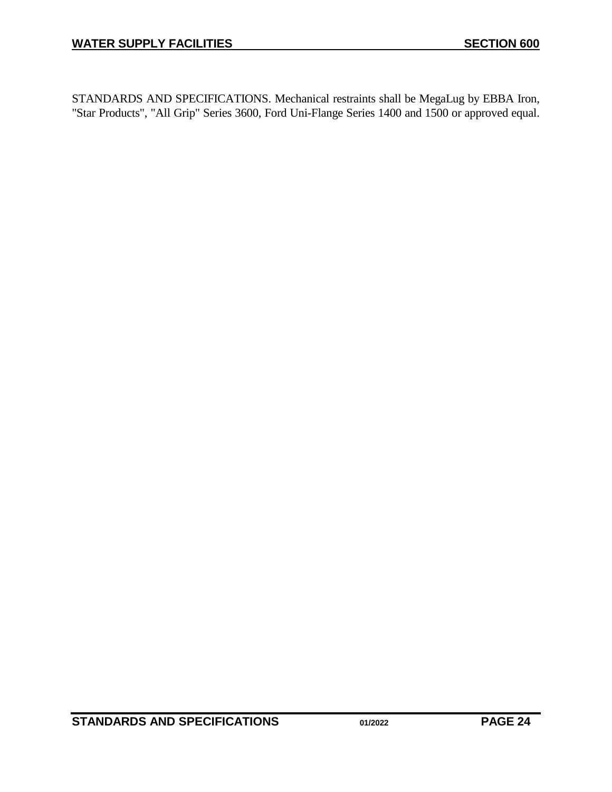STANDARDS AND SPECIFICATIONS. Mechanical restraints shall be MegaLug by EBBA Iron, "Star Products", "All Grip" Series 3600, Ford Uni-Flange Series 1400 and 1500 or approved equal.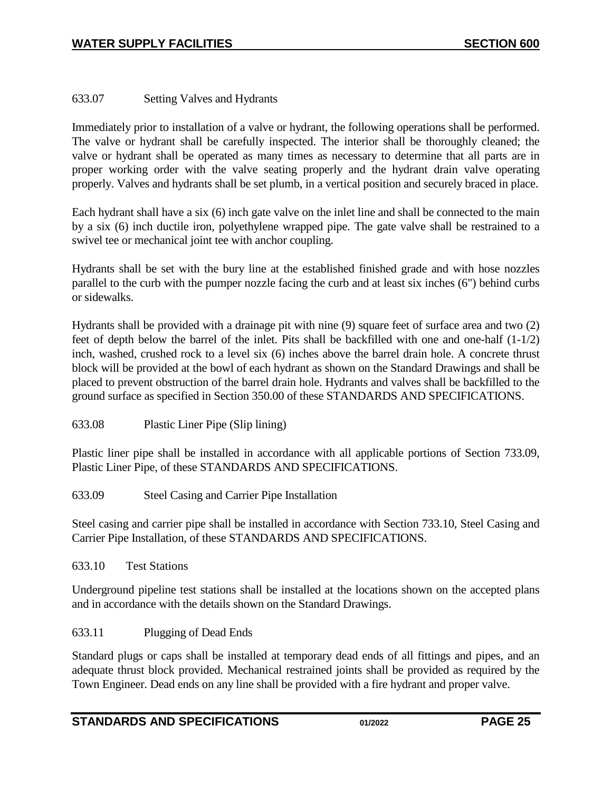## <span id="page-24-0"></span>633.07 Setting Valves and Hydrants

Immediately prior to installation of a valve or hydrant, the following operations shall be performed. The valve or hydrant shall be carefully inspected. The interior shall be thoroughly cleaned; the valve or hydrant shall be operated as many times as necessary to determine that all parts are in proper working order with the valve seating properly and the hydrant drain valve operating properly. Valves and hydrants shall be set plumb, in a vertical position and securely braced in place.

Each hydrant shall have a six (6) inch gate valve on the inlet line and shall be connected to the main by a six (6) inch ductile iron, polyethylene wrapped pipe. The gate valve shall be restrained to a swivel tee or mechanical joint tee with anchor coupling.

Hydrants shall be set with the bury line at the established finished grade and with hose nozzles parallel to the curb with the pumper nozzle facing the curb and at least six inches (6") behind curbs or sidewalks.

Hydrants shall be provided with a drainage pit with nine (9) square feet of surface area and two (2) feet of depth below the barrel of the inlet. Pits shall be backfilled with one and one-half (1-1/2) inch, washed, crushed rock to a level six (6) inches above the barrel drain hole. A concrete thrust block will be provided at the bowl of each hydrant as shown on the Standard Drawings and shall be placed to prevent obstruction of the barrel drain hole. Hydrants and valves shall be backfilled to the ground surface as specified in Section 350.00 of these STANDARDS AND SPECIFICATIONS.

<span id="page-24-1"></span>633.08 Plastic Liner Pipe (Slip lining)

Plastic liner pipe shall be installed in accordance with all applicable portions of Section 733.09, Plastic Liner Pipe, of these STANDARDS AND SPECIFICATIONS.

<span id="page-24-2"></span>633.09 Steel Casing and Carrier Pipe Installation

Steel casing and carrier pipe shall be installed in accordance with Section 733.10, Steel Casing and Carrier Pipe Installation, of these STANDARDS AND SPECIFICATIONS.

#### 633.10 Test Stations

Underground pipeline test stations shall be installed at the locations shown on the accepted plans and in accordance with the details shown on the Standard Drawings.

## <span id="page-24-3"></span>633.11 Plugging of Dead Ends

Standard plugs or caps shall be installed at temporary dead ends of all fittings and pipes, and an adequate thrust block provided. Mechanical restrained joints shall be provided as required by the Town Engineer. Dead ends on any line shall be provided with a fire hydrant and proper valve.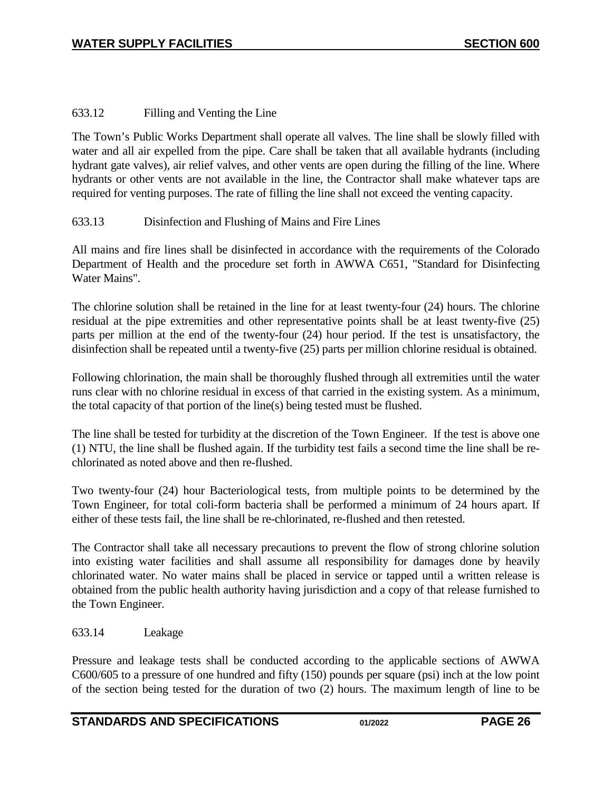## <span id="page-25-0"></span>633.12 Filling and Venting the Line

The Town's Public Works Department shall operate all valves. The line shall be slowly filled with water and all air expelled from the pipe. Care shall be taken that all available hydrants (including hydrant gate valves), air relief valves, and other vents are open during the filling of the line. Where hydrants or other vents are not available in the line, the Contractor shall make whatever taps are required for venting purposes. The rate of filling the line shall not exceed the venting capacity.

## <span id="page-25-1"></span>633.13 Disinfection and Flushing of Mains and Fire Lines

All mains and fire lines shall be disinfected in accordance with the requirements of the Colorado Department of Health and the procedure set forth in AWWA C651, "Standard for Disinfecting Water Mains".

The chlorine solution shall be retained in the line for at least twenty-four (24) hours. The chlorine residual at the pipe extremities and other representative points shall be at least twenty-five (25) parts per million at the end of the twenty-four (24) hour period. If the test is unsatisfactory, the disinfection shall be repeated until a twenty-five (25) parts per million chlorine residual is obtained.

Following chlorination, the main shall be thoroughly flushed through all extremities until the water runs clear with no chlorine residual in excess of that carried in the existing system. As a minimum, the total capacity of that portion of the line(s) being tested must be flushed.

The line shall be tested for turbidity at the discretion of the Town Engineer. If the test is above one (1) NTU, the line shall be flushed again. If the turbidity test fails a second time the line shall be rechlorinated as noted above and then re-flushed.

Two twenty-four (24) hour Bacteriological tests, from multiple points to be determined by the Town Engineer, for total coli-form bacteria shall be performed a minimum of 24 hours apart. If either of these tests fail, the line shall be re-chlorinated, re-flushed and then retested.

The Contractor shall take all necessary precautions to prevent the flow of strong chlorine solution into existing water facilities and shall assume all responsibility for damages done by heavily chlorinated water. No water mains shall be placed in service or tapped until a written release is obtained from the public health authority having jurisdiction and a copy of that release furnished to the Town Engineer.

## <span id="page-25-2"></span>633.14 Leakage

Pressure and leakage tests shall be conducted according to the applicable sections of AWWA C600/605 to a pressure of one hundred and fifty (150) pounds per square (psi) inch at the low point of the section being tested for the duration of two (2) hours. The maximum length of line to be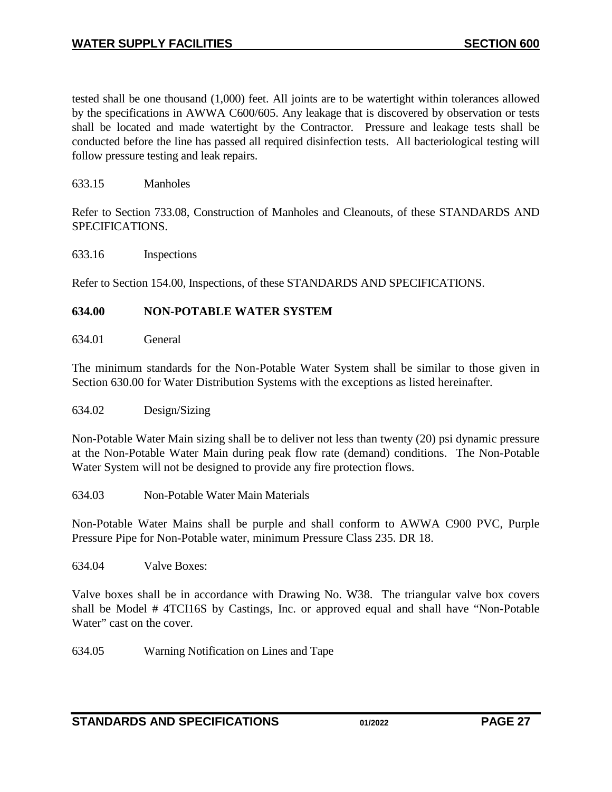tested shall be one thousand (1,000) feet. All joints are to be watertight within tolerances allowed by the specifications in AWWA C600/605. Any leakage that is discovered by observation or tests shall be located and made watertight by the Contractor. Pressure and leakage tests shall be conducted before the line has passed all required disinfection tests. All bacteriological testing will follow pressure testing and leak repairs.

<span id="page-26-0"></span>633.15 Manholes

Refer to Section 733.08, Construction of Manholes and Cleanouts, of these STANDARDS AND SPECIFICATIONS.

<span id="page-26-1"></span>633.16 Inspections

Refer to Section 154.00, Inspections, of these STANDARDS AND SPECIFICATIONS.

#### <span id="page-26-2"></span>**634.00 NON-POTABLE WATER SYSTEM**

<span id="page-26-3"></span>634.01 General

The minimum standards for the Non-Potable Water System shall be similar to those given in Section 630.00 for Water Distribution Systems with the exceptions as listed hereinafter.

<span id="page-26-4"></span>634.02 Design/Sizing

Non-Potable Water Main sizing shall be to deliver not less than twenty (20) psi dynamic pressure at the Non-Potable Water Main during peak flow rate (demand) conditions. The Non-Potable Water System will not be designed to provide any fire protection flows.

<span id="page-26-5"></span>634.03 Non-Potable Water Main Materials

Non-Potable Water Mains shall be purple and shall conform to AWWA C900 PVC, Purple Pressure Pipe for Non-Potable water, minimum Pressure Class 235. DR 18.

<span id="page-26-6"></span>634.04 Valve Boxes:

Valve boxes shall be in accordance with Drawing No. W38. The triangular valve box covers shall be Model # 4TCI16S by Castings, Inc. or approved equal and shall have "Non-Potable Water" cast on the cover.

<span id="page-26-7"></span>634.05 Warning Notification on Lines and Tape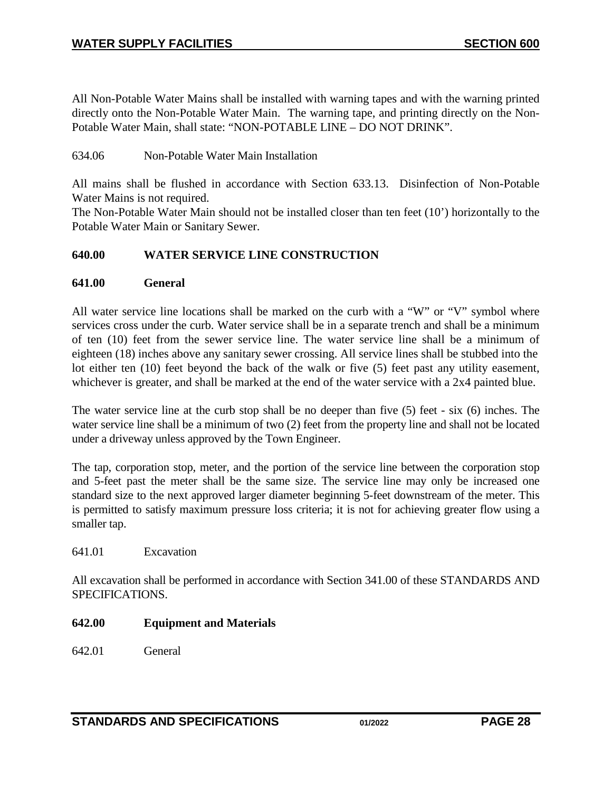All Non-Potable Water Mains shall be installed with warning tapes and with the warning printed directly onto the Non-Potable Water Main. The warning tape, and printing directly on the Non-Potable Water Main, shall state: "NON-POTABLE LINE – DO NOT DRINK".

#### <span id="page-27-0"></span>634.06 Non-Potable Water Main Installation

All mains shall be flushed in accordance with Section 633.13. Disinfection of Non-Potable Water Mains is not required.

The Non-Potable Water Main should not be installed closer than ten feet (10') horizontally to the Potable Water Main or Sanitary Sewer.

#### <span id="page-27-1"></span>**640.00 WATER SERVICE LINE CONSTRUCTION**

#### <span id="page-27-2"></span>**641.00 General**

All water service line locations shall be marked on the curb with a "W" or "V" symbol where services cross under the curb. Water service shall be in a separate trench and shall be a minimum of ten (10) feet from the sewer service line. The water service line shall be a minimum of eighteen (18) inches above any sanitary sewer crossing. All service lines shall be stubbed into the lot either ten (10) feet beyond the back of the walk or five (5) feet past any utility easement, whichever is greater, and shall be marked at the end of the water service with a 2x4 painted blue.

The water service line at the curb stop shall be no deeper than five (5) feet - six (6) inches. The water service line shall be a minimum of two (2) feet from the property line and shall not be located under a driveway unless approved by the Town Engineer.

The tap, corporation stop, meter, and the portion of the service line between the corporation stop and 5-feet past the meter shall be the same size. The service line may only be increased one standard size to the next approved larger diameter beginning 5-feet downstream of the meter. This is permitted to satisfy maximum pressure loss criteria; it is not for achieving greater flow using a smaller tap.

#### <span id="page-27-3"></span>641.01 Excavation

All excavation shall be performed in accordance with Section 341.00 of these STANDARDS AND SPECIFICATIONS.

#### <span id="page-27-4"></span>**642.00 Equipment and Materials**

<span id="page-27-5"></span>642.01 General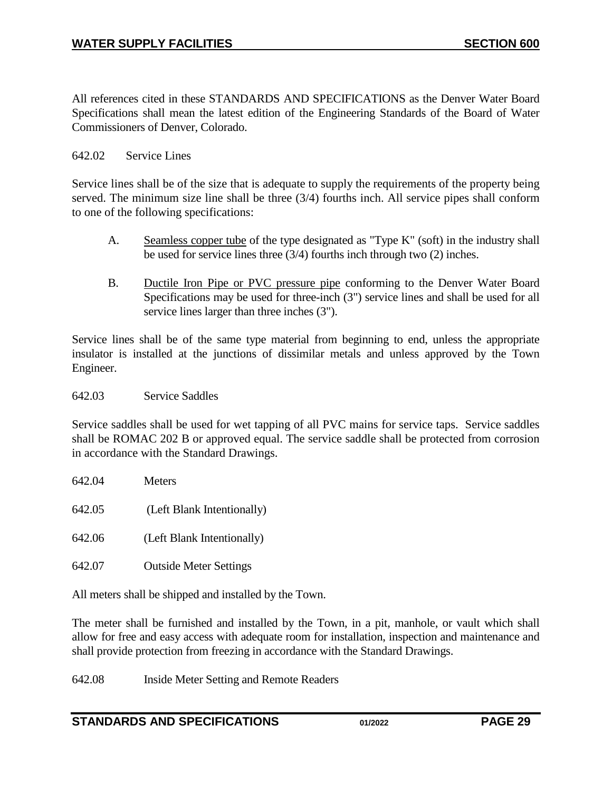All references cited in these STANDARDS AND SPECIFICATIONS as the Denver Water Board Specifications shall mean the latest edition of the Engineering Standards of the Board of Water Commissioners of Denver, Colorado.

#### 642.02 Service Lines

Service lines shall be of the size that is adequate to supply the requirements of the property being served. The minimum size line shall be three (3/4) fourths inch. All service pipes shall conform to one of the following specifications:

- A. Seamless copper tube of the type designated as "Type K" (soft) in the industry shall be used for service lines three (3/4) fourths inch through two (2) inches.
- B. Ductile Iron Pipe or PVC pressure pipe conforming to the Denver Water Board Specifications may be used for three-inch (3") service lines and shall be used for all service lines larger than three inches (3").

Service lines shall be of the same type material from beginning to end, unless the appropriate insulator is installed at the junctions of dissimilar metals and unless approved by the Town Engineer.

<span id="page-28-0"></span>642.03 Service Saddles

Service saddles shall be used for wet tapping of all PVC mains for service taps. Service saddles shall be ROMAC 202 B or approved equal. The service saddle shall be protected from corrosion in accordance with the Standard Drawings.

<span id="page-28-2"></span><span id="page-28-1"></span>

| 642.04 | Meters                        |
|--------|-------------------------------|
| 642.05 | (Left Blank Intentionally)    |
| 642.06 | (Left Blank Intentionally)    |
| 642.07 | <b>Outside Meter Settings</b> |

<span id="page-28-4"></span><span id="page-28-3"></span>All meters shall be shipped and installed by the Town.

The meter shall be furnished and installed by the Town, in a pit, manhole, or vault which shall allow for free and easy access with adequate room for installation, inspection and maintenance and shall provide protection from freezing in accordance with the Standard Drawings.

<span id="page-28-5"></span>642.08 Inside Meter Setting and Remote Readers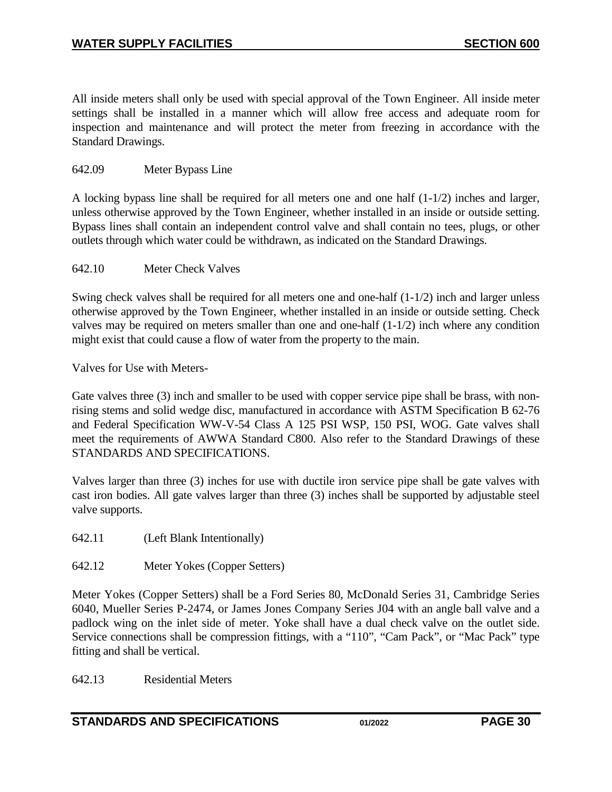All inside meters shall only be used with special approval of the Town Engineer. All inside meter settings shall be installed in a manner which will allow free access and adequate room for inspection and maintenance and will protect the meter from freezing in accordance with the Standard Drawings.

#### <span id="page-29-0"></span>642.09 Meter Bypass Line

A locking bypass line shall be required for all meters one and one half (1-1/2) inches and larger, unless otherwise approved by the Town Engineer, whether installed in an inside or outside setting. Bypass lines shall contain an independent control valve and shall contain no tees, plugs, or other outlets through which water could be withdrawn, as indicated on the Standard Drawings.

#### <span id="page-29-1"></span>642.10 Meter Check Valves

Swing check valves shall be required for all meters one and one-half (1-1/2) inch and larger unless otherwise approved by the Town Engineer, whether installed in an inside or outside setting. Check valves may be required on meters smaller than one and one-half (1-1/2) inch where any condition might exist that could cause a flow of water from the property to the main.

Valves for Use with Meters-

Gate valves three (3) inch and smaller to be used with copper service pipe shall be brass, with nonrising stems and solid wedge disc, manufactured in accordance with ASTM Specification B 62-76 and Federal Specification WW-V-54 Class A 125 PSI WSP, 150 PSI, WOG. Gate valves shall meet the requirements of AWWA Standard C800. Also refer to the Standard Drawings of these STANDARDS AND SPECIFICATIONS.

Valves larger than three (3) inches for use with ductile iron service pipe shall be gate valves with cast iron bodies. All gate valves larger than three (3) inches shall be supported by adjustable steel valve supports.

<span id="page-29-2"></span>642.11 (Left Blank Intentionally)

<span id="page-29-3"></span>642.12 Meter Yokes (Copper Setters)

Meter Yokes (Copper Setters) shall be a Ford Series 80, McDonald Series 31, Cambridge Series 6040, Mueller Series P-2474, or James Jones Company Series J04 with an angle ball valve and a padlock wing on the inlet side of meter. Yoke shall have a dual check valve on the outlet side. Service connections shall be compression fittings, with a "110", "Cam Pack", or "Mac Pack" type fitting and shall be vertical.

<span id="page-29-4"></span>642.13 Residential Meters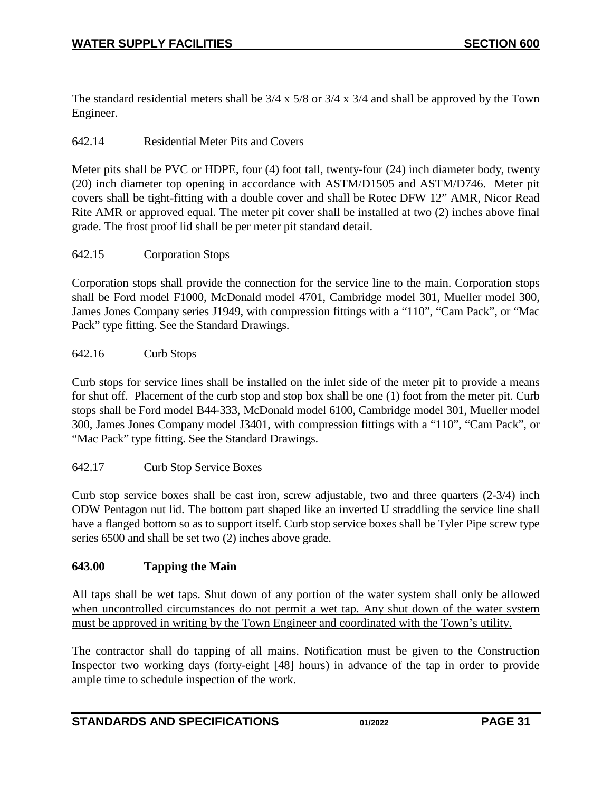The standard residential meters shall be 3/4 x 5/8 or 3/4 x 3/4 and shall be approved by the Town Engineer.

### <span id="page-30-0"></span>642.14 Residential Meter Pits and Covers

Meter pits shall be PVC or HDPE, four (4) foot tall, twenty-four (24) inch diameter body, twenty (20) inch diameter top opening in accordance with ASTM/D1505 and ASTM/D746. Meter pit covers shall be tight-fitting with a double cover and shall be Rotec DFW 12" AMR, Nicor Read Rite AMR or approved equal. The meter pit cover shall be installed at two (2) inches above final grade. The frost proof lid shall be per meter pit standard detail.

#### <span id="page-30-1"></span>642.15 Corporation Stops

Corporation stops shall provide the connection for the service line to the main. Corporation stops shall be Ford model F1000, McDonald model 4701, Cambridge model 301, Mueller model 300, James Jones Company series J1949, with compression fittings with a "110", "Cam Pack", or "Mac Pack" type fitting. See the Standard Drawings.

#### <span id="page-30-2"></span>642.16 Curb Stops

Curb stops for service lines shall be installed on the inlet side of the meter pit to provide a means for shut off. Placement of the curb stop and stop box shall be one (1) foot from the meter pit. Curb stops shall be Ford model B44-333, McDonald model 6100, Cambridge model 301, Mueller model 300, James Jones Company model J3401, with compression fittings with a "110", "Cam Pack", or "Mac Pack" type fitting. See the Standard Drawings.

#### <span id="page-30-3"></span>642.17 Curb Stop Service Boxes

Curb stop service boxes shall be cast iron, screw adjustable, two and three quarters (2-3/4) inch ODW Pentagon nut lid. The bottom part shaped like an inverted U straddling the service line shall have a flanged bottom so as to support itself. Curb stop service boxes shall be Tyler Pipe screw type series 6500 and shall be set two (2) inches above grade.

#### <span id="page-30-4"></span>**643.00 Tapping the Main**

All taps shall be wet taps. Shut down of any portion of the water system shall only be allowed when uncontrolled circumstances do not permit a wet tap. Any shut down of the water system must be approved in writing by the Town Engineer and coordinated with the Town's utility.

The contractor shall do tapping of all mains. Notification must be given to the Construction Inspector two working days (forty-eight [48] hours) in advance of the tap in order to provide ample time to schedule inspection of the work.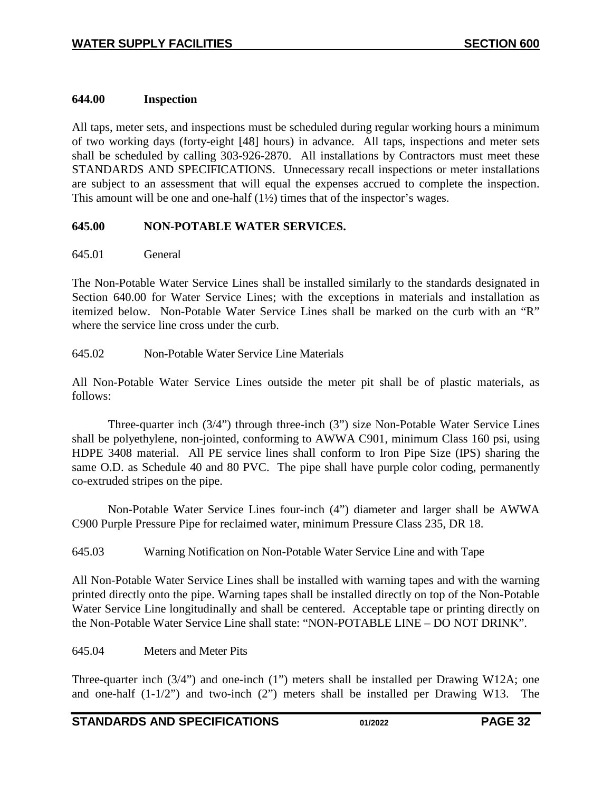#### <span id="page-31-0"></span>**644.00 Inspection**

All taps, meter sets, and inspections must be scheduled during regular working hours a minimum of two working days (forty-eight [48] hours) in advance. All taps, inspections and meter sets shall be scheduled by calling 303-926-2870. All installations by Contractors must meet these STANDARDS AND SPECIFICATIONS. Unnecessary recall inspections or meter installations are subject to an assessment that will equal the expenses accrued to complete the inspection. This amount will be one and one-half (1½) times that of the inspector's wages.

## <span id="page-31-1"></span>**645.00 NON-POTABLE WATER SERVICES.**

#### <span id="page-31-2"></span>645.01 General

The Non-Potable Water Service Lines shall be installed similarly to the standards designated in Section 640.00 for Water Service Lines; with the exceptions in materials and installation as itemized below. Non-Potable Water Service Lines shall be marked on the curb with an "R" where the service line cross under the curb.

<span id="page-31-3"></span>645.02 Non-Potable Water Service Line Materials

All Non-Potable Water Service Lines outside the meter pit shall be of plastic materials, as follows:

Three-quarter inch (3/4") through three-inch (3") size Non-Potable Water Service Lines shall be polyethylene, non-jointed, conforming to AWWA C901, minimum Class 160 psi, using HDPE 3408 material. All PE service lines shall conform to Iron Pipe Size (IPS) sharing the same O.D. as Schedule 40 and 80 PVC. The pipe shall have purple color coding, permanently co-extruded stripes on the pipe.

Non-Potable Water Service Lines four-inch (4") diameter and larger shall be AWWA C900 Purple Pressure Pipe for reclaimed water, minimum Pressure Class 235, DR 18.

<span id="page-31-4"></span>645.03 Warning Notification on Non-Potable Water Service Line and with Tape

All Non-Potable Water Service Lines shall be installed with warning tapes and with the warning printed directly onto the pipe. Warning tapes shall be installed directly on top of the Non-Potable Water Service Line longitudinally and shall be centered. Acceptable tape or printing directly on the Non-Potable Water Service Line shall state: "NON-POTABLE LINE – DO NOT DRINK".

#### <span id="page-31-5"></span>645.04 Meters and Meter Pits

Three-quarter inch (3/4") and one-inch (1") meters shall be installed per Drawing W12A; one and one-half (1-1/2") and two-inch (2") meters shall be installed per Drawing W13. The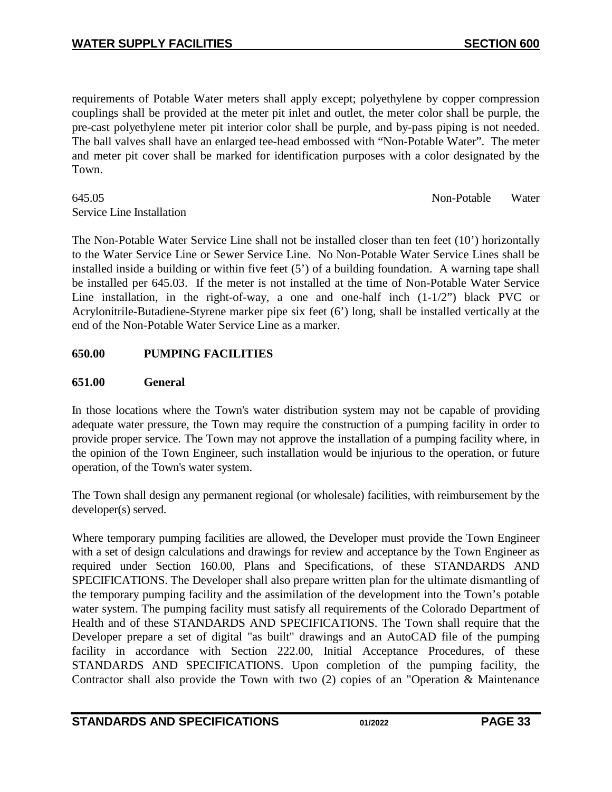requirements of Potable Water meters shall apply except; polyethylene by copper compression couplings shall be provided at the meter pit inlet and outlet, the meter color shall be purple, the pre-cast polyethylene meter pit interior color shall be purple, and by-pass piping is not needed. The ball valves shall have an enlarged tee-head embossed with "Non-Potable Water". The meter and meter pit cover shall be marked for identification purposes with a color designated by the Town.

#### <span id="page-32-0"></span>645.05 Non-Potable Water Service Line Installation

The Non-Potable Water Service Line shall not be installed closer than ten feet (10') horizontally to the Water Service Line or Sewer Service Line. No Non-Potable Water Service Lines shall be installed inside a building or within five feet (5') of a building foundation. A warning tape shall be installed per 645.03. If the meter is not installed at the time of Non-Potable Water Service Line installation, in the right-of-way, a one and one-half inch (1-1/2") black PVC or Acrylonitrile-Butadiene-Styrene marker pipe six feet (6') long, shall be installed vertically at the end of the Non-Potable Water Service Line as a marker.

## <span id="page-32-1"></span>**650.00 PUMPING FACILITIES**

## <span id="page-32-2"></span>**651.00 General**

In those locations where the Town's water distribution system may not be capable of providing adequate water pressure, the Town may require the construction of a pumping facility in order to provide proper service. The Town may not approve the installation of a pumping facility where, in the opinion of the Town Engineer, such installation would be injurious to the operation, or future operation, of the Town's water system.

The Town shall design any permanent regional (or wholesale) facilities, with reimbursement by the developer(s) served.

Where temporary pumping facilities are allowed, the Developer must provide the Town Engineer with a set of design calculations and drawings for review and acceptance by the Town Engineer as required under Section 160.00, Plans and Specifications, of these STANDARDS AND SPECIFICATIONS. The Developer shall also prepare written plan for the ultimate dismantling of the temporary pumping facility and the assimilation of the development into the Town's potable water system. The pumping facility must satisfy all requirements of the Colorado Department of Health and of these STANDARDS AND SPECIFICATIONS. The Town shall require that the Developer prepare a set of digital "as built" drawings and an AutoCAD file of the pumping facility in accordance with Section 222.00, Initial Acceptance Procedures, of these STANDARDS AND SPECIFICATIONS. Upon completion of the pumping facility, the Contractor shall also provide the Town with two (2) copies of an "Operation & Maintenance